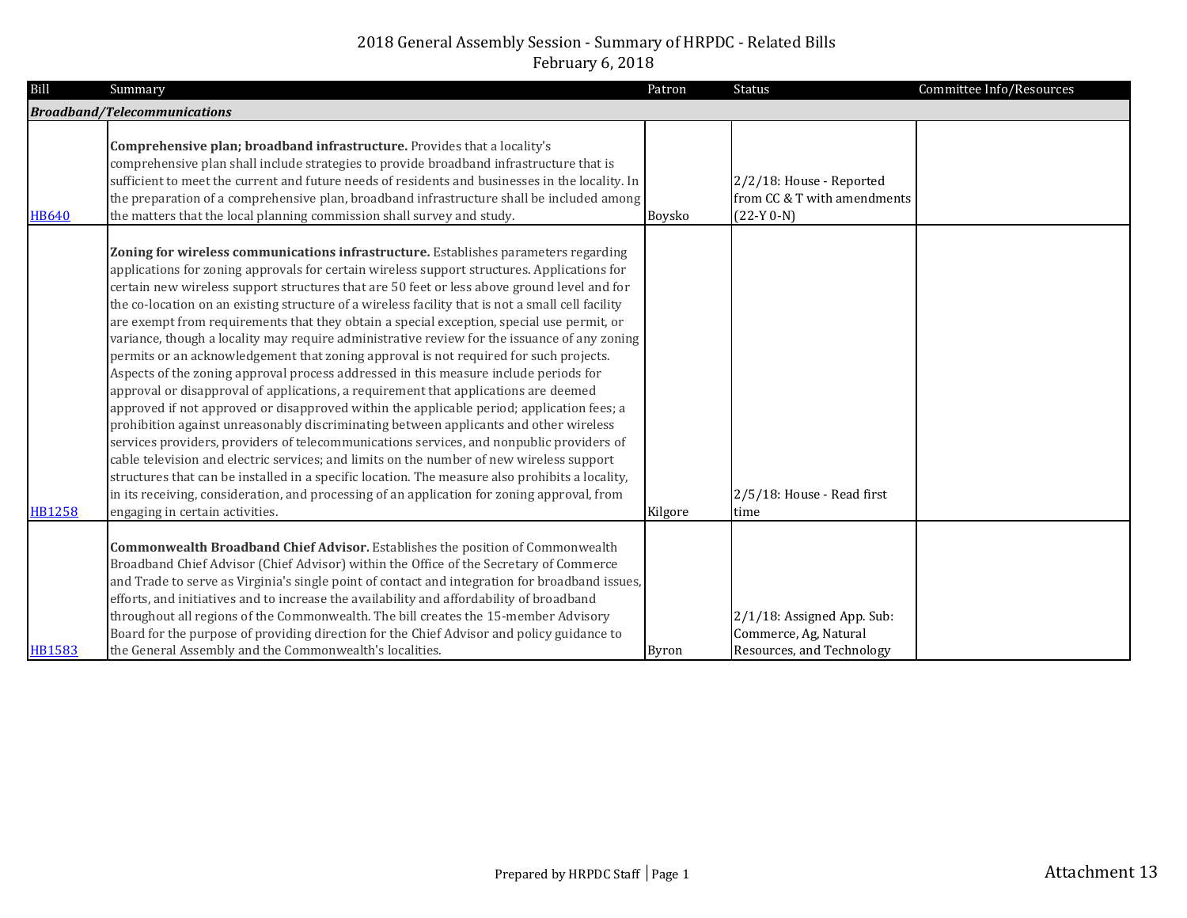| Bill          | Summary                                                                                                                                                                                                                                                                                                                                                                                                                                                                                                                                                                                                                                                                                                                                                                                                                                                                                                                                                                                                                                                                                                                                                                                                                                                                                                                                                                                                                                                                        | Patron       | <b>Status</b>                                                                    | Committee Info/Resources |
|---------------|--------------------------------------------------------------------------------------------------------------------------------------------------------------------------------------------------------------------------------------------------------------------------------------------------------------------------------------------------------------------------------------------------------------------------------------------------------------------------------------------------------------------------------------------------------------------------------------------------------------------------------------------------------------------------------------------------------------------------------------------------------------------------------------------------------------------------------------------------------------------------------------------------------------------------------------------------------------------------------------------------------------------------------------------------------------------------------------------------------------------------------------------------------------------------------------------------------------------------------------------------------------------------------------------------------------------------------------------------------------------------------------------------------------------------------------------------------------------------------|--------------|----------------------------------------------------------------------------------|--------------------------|
|               | <b>Broadband/Telecommunications</b>                                                                                                                                                                                                                                                                                                                                                                                                                                                                                                                                                                                                                                                                                                                                                                                                                                                                                                                                                                                                                                                                                                                                                                                                                                                                                                                                                                                                                                            |              |                                                                                  |                          |
| <b>HB640</b>  | Comprehensive plan; broadband infrastructure. Provides that a locality's<br>comprehensive plan shall include strategies to provide broadband infrastructure that is<br>sufficient to meet the current and future needs of residents and businesses in the locality. In<br>the preparation of a comprehensive plan, broadband infrastructure shall be included among<br>the matters that the local planning commission shall survey and study.                                                                                                                                                                                                                                                                                                                                                                                                                                                                                                                                                                                                                                                                                                                                                                                                                                                                                                                                                                                                                                  | Boysko       | 2/2/18: House - Reported<br>from CC & T with amendments<br>$(22-Y 0-N)$          |                          |
| <b>HB1258</b> | Zoning for wireless communications infrastructure. Establishes parameters regarding<br>applications for zoning approvals for certain wireless support structures. Applications for<br>certain new wireless support structures that are 50 feet or less above ground level and for<br>the co-location on an existing structure of a wireless facility that is not a small cell facility<br>are exempt from requirements that they obtain a special exception, special use permit, or<br>variance, though a locality may require administrative review for the issuance of any zoning<br>permits or an acknowledgement that zoning approval is not required for such projects.<br>Aspects of the zoning approval process addressed in this measure include periods for<br>approval or disapproval of applications, a requirement that applications are deemed<br>approved if not approved or disapproved within the applicable period; application fees; a<br>prohibition against unreasonably discriminating between applicants and other wireless<br>services providers, providers of telecommunications services, and nonpublic providers of<br>cable television and electric services; and limits on the number of new wireless support<br>structures that can be installed in a specific location. The measure also prohibits a locality,<br>in its receiving, consideration, and processing of an application for zoning approval, from<br>engaging in certain activities. | Kilgore      | 2/5/18: House - Read first<br>time                                               |                          |
| <b>HB1583</b> | <b>Commonwealth Broadband Chief Advisor.</b> Establishes the position of Commonwealth<br>Broadband Chief Advisor (Chief Advisor) within the Office of the Secretary of Commerce<br>and Trade to serve as Virginia's single point of contact and integration for broadband issues,<br>efforts, and initiatives and to increase the availability and affordability of broadband<br>throughout all regions of the Commonwealth. The bill creates the 15-member Advisory<br>Board for the purpose of providing direction for the Chief Advisor and policy guidance to<br>the General Assembly and the Commonwealth's localities.                                                                                                                                                                                                                                                                                                                                                                                                                                                                                                                                                                                                                                                                                                                                                                                                                                                   | <b>Byron</b> | 2/1/18: Assigned App. Sub:<br>Commerce, Ag, Natural<br>Resources, and Technology |                          |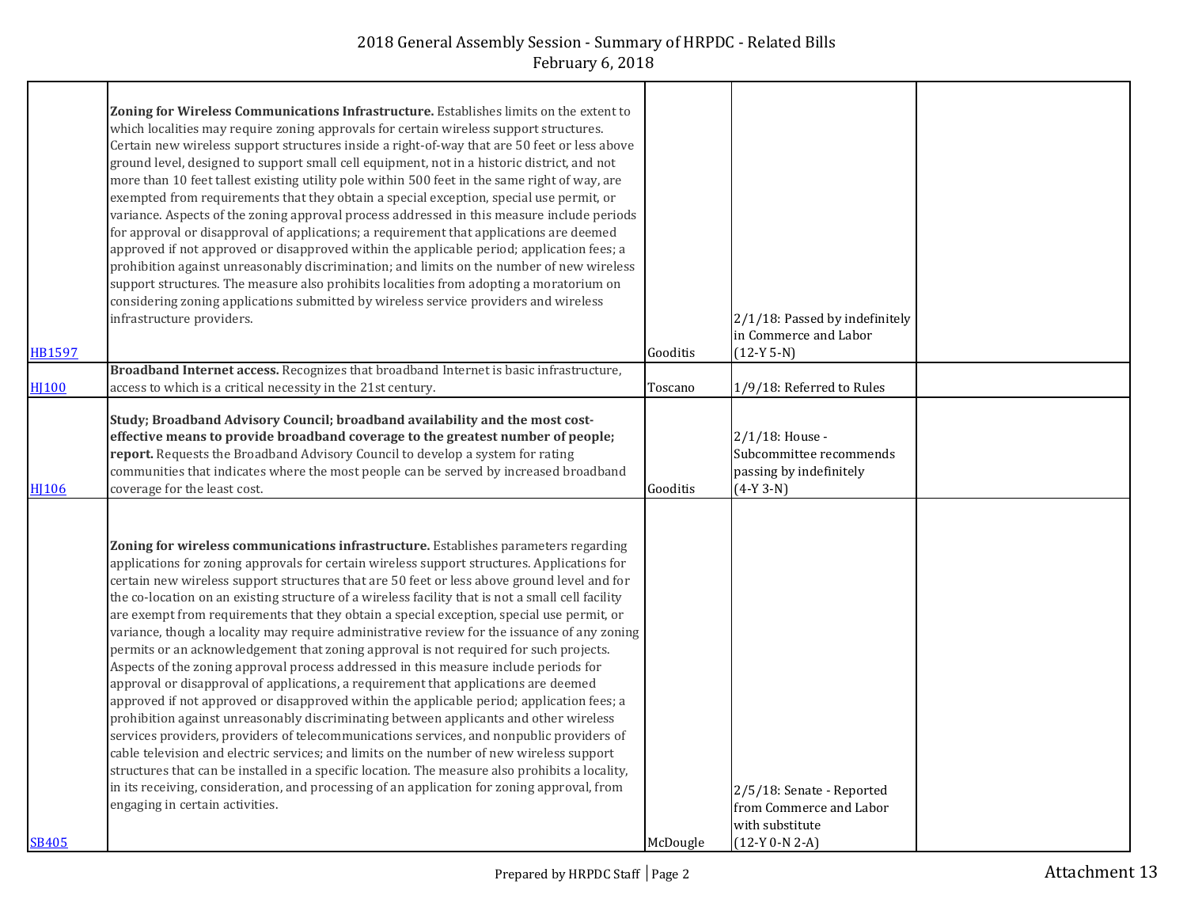|                  | Zoning for Wireless Communications Infrastructure. Establishes limits on the extent to            |          |                                |  |
|------------------|---------------------------------------------------------------------------------------------------|----------|--------------------------------|--|
|                  | which localities may require zoning approvals for certain wireless support structures.            |          |                                |  |
|                  | Certain new wireless support structures inside a right-of-way that are 50 feet or less above      |          |                                |  |
|                  | ground level, designed to support small cell equipment, not in a historic district, and not       |          |                                |  |
|                  | more than 10 feet tallest existing utility pole within 500 feet in the same right of way, are     |          |                                |  |
|                  | exempted from requirements that they obtain a special exception, special use permit, or           |          |                                |  |
|                  | variance. Aspects of the zoning approval process addressed in this measure include periods        |          |                                |  |
|                  | for approval or disapproval of applications; a requirement that applications are deemed           |          |                                |  |
|                  |                                                                                                   |          |                                |  |
|                  | approved if not approved or disapproved within the applicable period; application fees; a         |          |                                |  |
|                  | prohibition against unreasonably discrimination; and limits on the number of new wireless         |          |                                |  |
|                  | support structures. The measure also prohibits localities from adopting a moratorium on           |          |                                |  |
|                  | considering zoning applications submitted by wireless service providers and wireless              |          |                                |  |
|                  | infrastructure providers.                                                                         |          | 2/1/18: Passed by indefinitely |  |
|                  |                                                                                                   |          | in Commerce and Labor          |  |
| HB1597           |                                                                                                   | Gooditis | $(12-Y 5-N)$                   |  |
|                  | Broadband Internet access. Recognizes that broadband Internet is basic infrastructure,            |          |                                |  |
| HJ100            | access to which is a critical necessity in the 21st century.                                      | Toscano  | 1/9/18: Referred to Rules      |  |
|                  |                                                                                                   |          |                                |  |
|                  | Study; Broadband Advisory Council; broadband availability and the most cost-                      |          |                                |  |
|                  | effective means to provide broadband coverage to the greatest number of people;                   |          | 2/1/18: House -                |  |
|                  | report. Requests the Broadband Advisory Council to develop a system for rating                    |          | Subcommittee recommends        |  |
|                  | communities that indicates where the most people can be served by increased broadband             |          | passing by indefinitely        |  |
| H <sub>106</sub> | coverage for the least cost.                                                                      | Gooditis | $(4-Y 3-N)$                    |  |
|                  |                                                                                                   |          |                                |  |
|                  |                                                                                                   |          |                                |  |
|                  | Zoning for wireless communications infrastructure. Establishes parameters regarding               |          |                                |  |
|                  | applications for zoning approvals for certain wireless support structures. Applications for       |          |                                |  |
|                  | certain new wireless support structures that are 50 feet or less above ground level and for       |          |                                |  |
|                  |                                                                                                   |          |                                |  |
|                  | the co-location on an existing structure of a wireless facility that is not a small cell facility |          |                                |  |
|                  | are exempt from requirements that they obtain a special exception, special use permit, or         |          |                                |  |
|                  | variance, though a locality may require administrative review for the issuance of any zoning      |          |                                |  |
|                  | permits or an acknowledgement that zoning approval is not required for such projects.             |          |                                |  |
|                  | Aspects of the zoning approval process addressed in this measure include periods for              |          |                                |  |
|                  | approval or disapproval of applications, a requirement that applications are deemed               |          |                                |  |
|                  | approved if not approved or disapproved within the applicable period; application fees; a         |          |                                |  |
|                  | prohibition against unreasonably discriminating between applicants and other wireless             |          |                                |  |
|                  | services providers, providers of telecommunications services, and nonpublic providers of          |          |                                |  |
|                  | cable television and electric services; and limits on the number of new wireless support          |          |                                |  |
|                  | structures that can be installed in a specific location. The measure also prohibits a locality,   |          |                                |  |
|                  | in its receiving, consideration, and processing of an application for zoning approval, from       |          | 2/5/18: Senate - Reported      |  |
|                  | engaging in certain activities.                                                                   |          | from Commerce and Labor        |  |
|                  |                                                                                                   |          |                                |  |
|                  |                                                                                                   |          | with substitute                |  |
| SB405            |                                                                                                   | McDougle | $(12-Y 0-N 2-A)$               |  |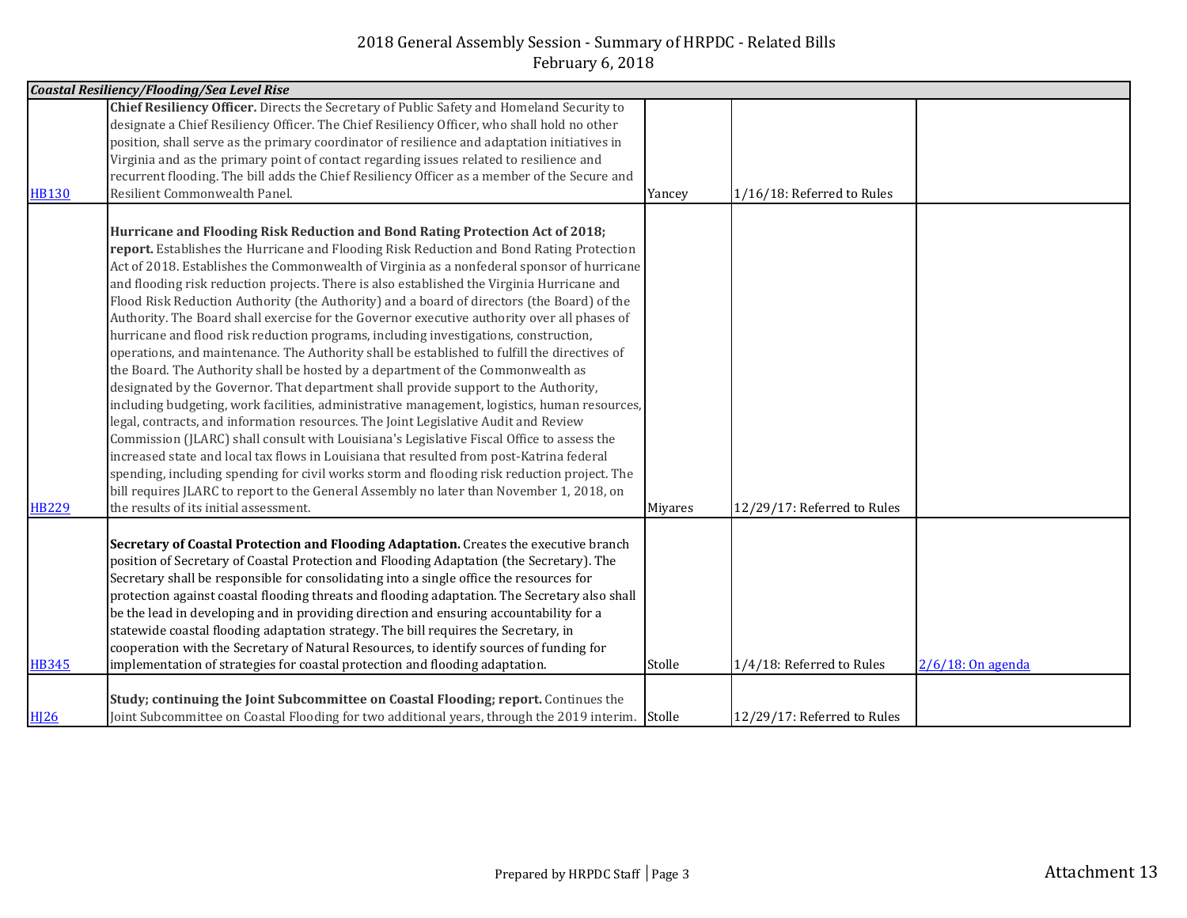|              | <b>Coastal Resiliency/Flooding/Sea Level Rise</b>                                                 |         |                             |                      |
|--------------|---------------------------------------------------------------------------------------------------|---------|-----------------------------|----------------------|
|              | Chief Resiliency Officer. Directs the Secretary of Public Safety and Homeland Security to         |         |                             |                      |
|              | designate a Chief Resiliency Officer. The Chief Resiliency Officer, who shall hold no other       |         |                             |                      |
|              | position, shall serve as the primary coordinator of resilience and adaptation initiatives in      |         |                             |                      |
|              | Virginia and as the primary point of contact regarding issues related to resilience and           |         |                             |                      |
|              | recurrent flooding. The bill adds the Chief Resiliency Officer as a member of the Secure and      |         |                             |                      |
| <b>HB130</b> | Resilient Commonwealth Panel.                                                                     | Yancey  | 1/16/18: Referred to Rules  |                      |
|              |                                                                                                   |         |                             |                      |
|              | Hurricane and Flooding Risk Reduction and Bond Rating Protection Act of 2018;                     |         |                             |                      |
|              | report. Establishes the Hurricane and Flooding Risk Reduction and Bond Rating Protection          |         |                             |                      |
|              | Act of 2018. Establishes the Commonwealth of Virginia as a nonfederal sponsor of hurricane        |         |                             |                      |
|              | and flooding risk reduction projects. There is also established the Virginia Hurricane and        |         |                             |                      |
|              | Flood Risk Reduction Authority (the Authority) and a board of directors (the Board) of the        |         |                             |                      |
|              | Authority. The Board shall exercise for the Governor executive authority over all phases of       |         |                             |                      |
|              | hurricane and flood risk reduction programs, including investigations, construction,              |         |                             |                      |
|              | operations, and maintenance. The Authority shall be established to fulfill the directives of      |         |                             |                      |
|              | the Board. The Authority shall be hosted by a department of the Commonwealth as                   |         |                             |                      |
|              | designated by the Governor. That department shall provide support to the Authority,               |         |                             |                      |
|              | including budgeting, work facilities, administrative management, logistics, human resources,      |         |                             |                      |
|              | legal, contracts, and information resources. The Joint Legislative Audit and Review               |         |                             |                      |
|              | Commission (JLARC) shall consult with Louisiana's Legislative Fiscal Office to assess the         |         |                             |                      |
|              | increased state and local tax flows in Louisiana that resulted from post-Katrina federal          |         |                             |                      |
|              | spending, including spending for civil works storm and flooding risk reduction project. The       |         |                             |                      |
|              | bill requires JLARC to report to the General Assembly no later than November 1, 2018, on          |         |                             |                      |
| <b>HB229</b> | the results of its initial assessment.                                                            | Miyares | 12/29/17: Referred to Rules |                      |
|              |                                                                                                   |         |                             |                      |
|              | Secretary of Coastal Protection and Flooding Adaptation. Creates the executive branch             |         |                             |                      |
|              | position of Secretary of Coastal Protection and Flooding Adaptation (the Secretary). The          |         |                             |                      |
|              | Secretary shall be responsible for consolidating into a single office the resources for           |         |                             |                      |
|              | protection against coastal flooding threats and flooding adaptation. The Secretary also shall     |         |                             |                      |
|              | be the lead in developing and in providing direction and ensuring accountability for a            |         |                             |                      |
|              | statewide coastal flooding adaptation strategy. The bill requires the Secretary, in               |         |                             |                      |
|              | cooperation with the Secretary of Natural Resources, to identify sources of funding for           |         |                             |                      |
| <b>HB345</b> | implementation of strategies for coastal protection and flooding adaptation.                      | Stolle  | 1/4/18: Referred to Rules   | $2/6/18$ : On agenda |
|              |                                                                                                   |         |                             |                      |
|              | Study; continuing the Joint Subcommittee on Coastal Flooding; report. Continues the               |         |                             |                      |
| <b>HI26</b>  | Joint Subcommittee on Coastal Flooding for two additional years, through the 2019 interim. Stolle |         | 12/29/17: Referred to Rules |                      |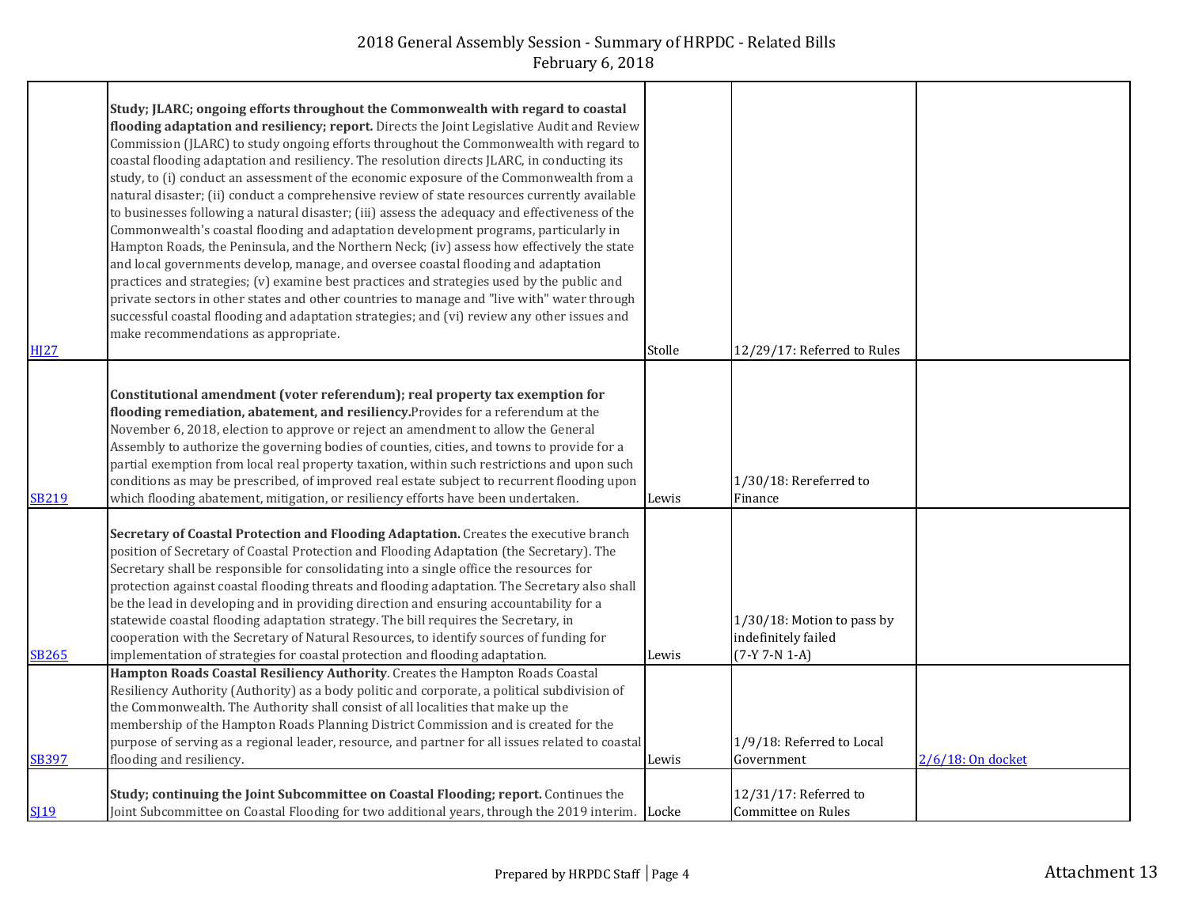|              | Study; JLARC; ongoing efforts throughout the Commonwealth with regard to coastal                 |        |                             |                   |
|--------------|--------------------------------------------------------------------------------------------------|--------|-----------------------------|-------------------|
|              | flooding adaptation and resiliency; report. Directs the Joint Legislative Audit and Review       |        |                             |                   |
|              | Commission (JLARC) to study ongoing efforts throughout the Commonwealth with regard to           |        |                             |                   |
|              | coastal flooding adaptation and resiliency. The resolution directs JLARC, in conducting its      |        |                             |                   |
|              | study, to (i) conduct an assessment of the economic exposure of the Commonwealth from a          |        |                             |                   |
|              | natural disaster; (ii) conduct a comprehensive review of state resources currently available     |        |                             |                   |
|              | to businesses following a natural disaster; (iii) assess the adequacy and effectiveness of the   |        |                             |                   |
|              | Commonwealth's coastal flooding and adaptation development programs, particularly in             |        |                             |                   |
|              | Hampton Roads, the Peninsula, and the Northern Neck; (iv) assess how effectively the state       |        |                             |                   |
|              | and local governments develop, manage, and oversee coastal flooding and adaptation               |        |                             |                   |
|              | practices and strategies; (v) examine best practices and strategies used by the public and       |        |                             |                   |
|              | private sectors in other states and other countries to manage and "live with" water through      |        |                             |                   |
|              | successful coastal flooding and adaptation strategies; and (vi) review any other issues and      |        |                             |                   |
|              | make recommendations as appropriate.                                                             |        |                             |                   |
| <b>HJ27</b>  |                                                                                                  | Stolle | 12/29/17: Referred to Rules |                   |
|              |                                                                                                  |        |                             |                   |
|              | Constitutional amendment (voter referendum); real property tax exemption for                     |        |                             |                   |
|              | flooding remediation, abatement, and resiliency. Provides for a referendum at the                |        |                             |                   |
|              | November 6, 2018, election to approve or reject an amendment to allow the General                |        |                             |                   |
|              | Assembly to authorize the governing bodies of counties, cities, and towns to provide for a       |        |                             |                   |
|              | partial exemption from local real property taxation, within such restrictions and upon such      |        |                             |                   |
|              | conditions as may be prescribed, of improved real estate subject to recurrent flooding upon      |        | 1/30/18: Rereferred to      |                   |
| <b>SB219</b> | which flooding abatement, mitigation, or resiliency efforts have been undertaken.                | Lewis  | Finance                     |                   |
|              |                                                                                                  |        |                             |                   |
|              | Secretary of Coastal Protection and Flooding Adaptation. Creates the executive branch            |        |                             |                   |
|              | position of Secretary of Coastal Protection and Flooding Adaptation (the Secretary). The         |        |                             |                   |
|              | Secretary shall be responsible for consolidating into a single office the resources for          |        |                             |                   |
|              | protection against coastal flooding threats and flooding adaptation. The Secretary also shall    |        |                             |                   |
|              | be the lead in developing and in providing direction and ensuring accountability for a           |        |                             |                   |
|              | statewide coastal flooding adaptation strategy. The bill requires the Secretary, in              |        | 1/30/18: Motion to pass by  |                   |
|              | cooperation with the Secretary of Natural Resources, to identify sources of funding for          |        | indefinitely failed         |                   |
| <b>SB265</b> | implementation of strategies for coastal protection and flooding adaptation.                     | Lewis  | $(7-Y 7-N 1-A)$             |                   |
|              | Hampton Roads Coastal Resiliency Authority. Creates the Hampton Roads Coastal                    |        |                             |                   |
|              | Resiliency Authority (Authority) as a body politic and corporate, a political subdivision of     |        |                             |                   |
|              | the Commonwealth. The Authority shall consist of all localities that make up the                 |        |                             |                   |
|              | membership of the Hampton Roads Planning District Commission and is created for the              |        |                             |                   |
|              | purpose of serving as a regional leader, resource, and partner for all issues related to coastal |        | 1/9/18: Referred to Local   |                   |
| <b>SB397</b> | flooding and resiliency.                                                                         | Lewis  | Government                  | 2/6/18: On docket |
|              |                                                                                                  |        |                             |                   |
|              | Study; continuing the Joint Subcommittee on Coastal Flooding; report. Continues the              |        | 12/31/17: Referred to       |                   |
| <b>SI19</b>  | Joint Subcommittee on Coastal Flooding for two additional years, through the 2019 interim. Locke |        | Committee on Rules          |                   |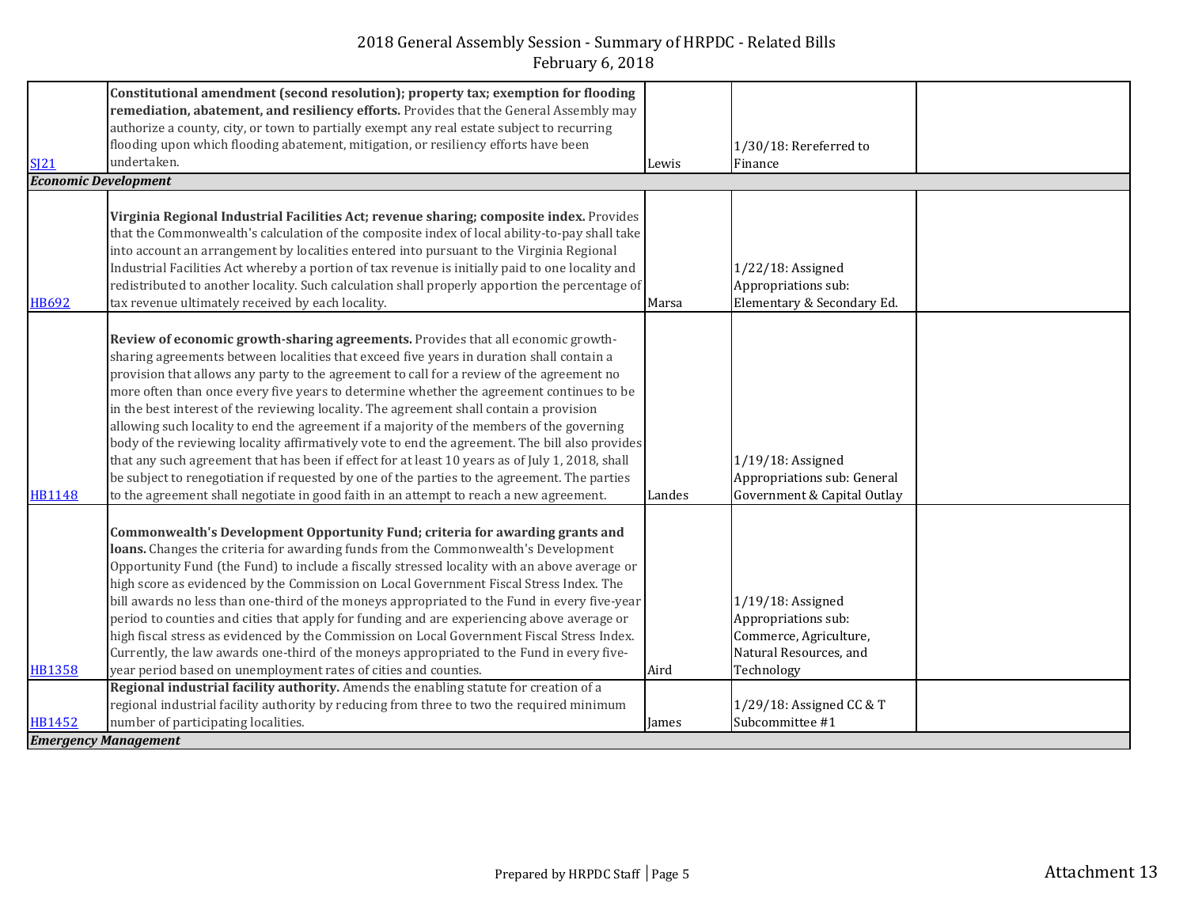|                             | Constitutional amendment (second resolution); property tax; exemption for flooding               |        |                                             |  |
|-----------------------------|--------------------------------------------------------------------------------------------------|--------|---------------------------------------------|--|
|                             | remediation, abatement, and resiliency efforts. Provides that the General Assembly may           |        |                                             |  |
|                             | authorize a county, city, or town to partially exempt any real estate subject to recurring       |        |                                             |  |
|                             | flooding upon which flooding abatement, mitigation, or resiliency efforts have been              |        | $1/30/18$ : Rereferred to                   |  |
| S121                        | undertaken.                                                                                      | Lewis  | Finance                                     |  |
| <b>Economic Development</b> |                                                                                                  |        |                                             |  |
|                             |                                                                                                  |        |                                             |  |
|                             | Virginia Regional Industrial Facilities Act; revenue sharing; composite index. Provides          |        |                                             |  |
|                             | that the Commonwealth's calculation of the composite index of local ability-to-pay shall take    |        |                                             |  |
|                             | into account an arrangement by localities entered into pursuant to the Virginia Regional         |        |                                             |  |
|                             | Industrial Facilities Act whereby a portion of tax revenue is initially paid to one locality and |        | $1/22/18$ : Assigned                        |  |
|                             | redistributed to another locality. Such calculation shall properly apportion the percentage of   |        | Appropriations sub:                         |  |
| <b>HB692</b>                | tax revenue ultimately received by each locality.                                                | Marsa  | Elementary & Secondary Ed.                  |  |
|                             |                                                                                                  |        |                                             |  |
|                             | Review of economic growth-sharing agreements. Provides that all economic growth-                 |        |                                             |  |
|                             | sharing agreements between localities that exceed five years in duration shall contain a         |        |                                             |  |
|                             | provision that allows any party to the agreement to call for a review of the agreement no        |        |                                             |  |
|                             | more often than once every five years to determine whether the agreement continues to be         |        |                                             |  |
|                             | in the best interest of the reviewing locality. The agreement shall contain a provision          |        |                                             |  |
|                             | allowing such locality to end the agreement if a majority of the members of the governing        |        |                                             |  |
|                             | body of the reviewing locality affirmatively vote to end the agreement. The bill also provides   |        |                                             |  |
|                             | that any such agreement that has been if effect for at least 10 years as of July 1, 2018, shall  |        | $1/19/18$ : Assigned                        |  |
|                             | be subject to renegotiation if requested by one of the parties to the agreement. The parties     |        | Appropriations sub: General                 |  |
| <b>HB1148</b>               | to the agreement shall negotiate in good faith in an attempt to reach a new agreement.           | Landes | Government & Capital Outlay                 |  |
|                             |                                                                                                  |        |                                             |  |
|                             | Commonwealth's Development Opportunity Fund; criteria for awarding grants and                    |        |                                             |  |
|                             | loans. Changes the criteria for awarding funds from the Commonwealth's Development               |        |                                             |  |
|                             | Opportunity Fund (the Fund) to include a fiscally stressed locality with an above average or     |        |                                             |  |
|                             | high score as evidenced by the Commission on Local Government Fiscal Stress Index. The           |        |                                             |  |
|                             | bill awards no less than one-third of the moneys appropriated to the Fund in every five-year     |        | $1/19/18$ : Assigned                        |  |
|                             | period to counties and cities that apply for funding and are experiencing above average or       |        | Appropriations sub:                         |  |
|                             | high fiscal stress as evidenced by the Commission on Local Government Fiscal Stress Index.       |        | Commerce, Agriculture,                      |  |
|                             | Currently, the law awards one-third of the moneys appropriated to the Fund in every five-        |        | Natural Resources, and                      |  |
| <b>HB1358</b>               | year period based on unemployment rates of cities and counties.                                  | Aird   | Technology                                  |  |
|                             | Regional industrial facility authority. Amends the enabling statute for creation of a            |        |                                             |  |
| <b>HB1452</b>               | regional industrial facility authority by reducing from three to two the required minimum        |        | 1/29/18: Assigned CC & T<br>Subcommittee #1 |  |
|                             | number of participating localities.                                                              | James  |                                             |  |
|                             | <b>Emergency Management</b>                                                                      |        |                                             |  |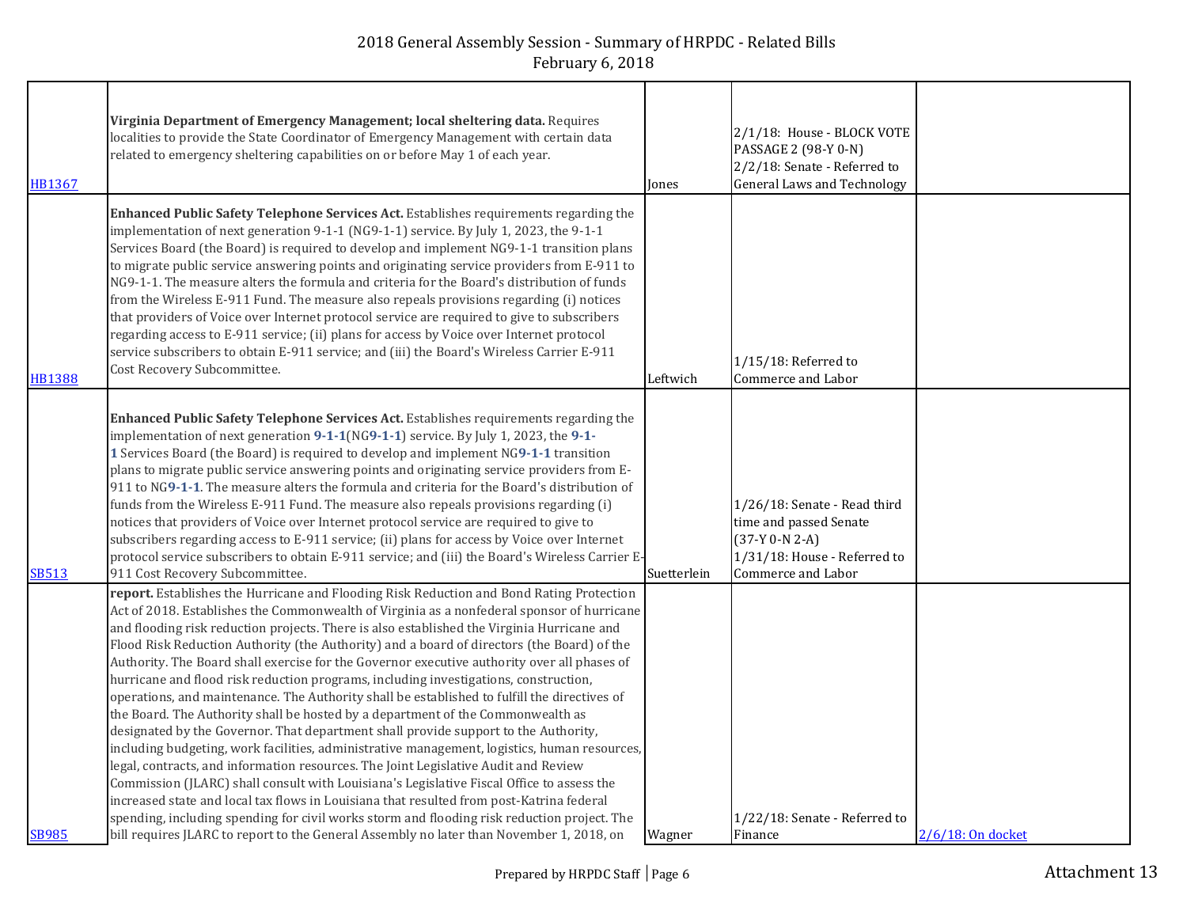| HB1367        | Virginia Department of Emergency Management; local sheltering data. Requires<br>localities to provide the State Coordinator of Emergency Management with certain data<br>related to emergency sheltering capabilities on or before May 1 of each year.                                                                                                                                                                                                                                                                                                                                                                                                                                                                                                                                                                                                                                                                                                                                                                                                                                                                                                                                                                                                                                                                                                                                                                         | Jones       | 2/1/18: House - BLOCK VOTE<br>PASSAGE 2 (98-Y 0-N)<br>2/2/18: Senate - Referred to<br><b>General Laws and Technology</b>         |                   |
|---------------|--------------------------------------------------------------------------------------------------------------------------------------------------------------------------------------------------------------------------------------------------------------------------------------------------------------------------------------------------------------------------------------------------------------------------------------------------------------------------------------------------------------------------------------------------------------------------------------------------------------------------------------------------------------------------------------------------------------------------------------------------------------------------------------------------------------------------------------------------------------------------------------------------------------------------------------------------------------------------------------------------------------------------------------------------------------------------------------------------------------------------------------------------------------------------------------------------------------------------------------------------------------------------------------------------------------------------------------------------------------------------------------------------------------------------------|-------------|----------------------------------------------------------------------------------------------------------------------------------|-------------------|
| <b>HB1388</b> | Enhanced Public Safety Telephone Services Act. Establishes requirements regarding the<br>implementation of next generation 9-1-1 (NG9-1-1) service. By July 1, 2023, the 9-1-1<br>Services Board (the Board) is required to develop and implement NG9-1-1 transition plans<br>to migrate public service answering points and originating service providers from E-911 to<br>NG9-1-1. The measure alters the formula and criteria for the Board's distribution of funds<br>from the Wireless E-911 Fund. The measure also repeals provisions regarding (i) notices<br>that providers of Voice over Internet protocol service are required to give to subscribers<br>regarding access to E-911 service; (ii) plans for access by Voice over Internet protocol<br>service subscribers to obtain E-911 service; and (iii) the Board's Wireless Carrier E-911<br>Cost Recovery Subcommittee.                                                                                                                                                                                                                                                                                                                                                                                                                                                                                                                                        | Leftwich    | $1/15/18$ : Referred to<br>Commerce and Labor                                                                                    |                   |
| <b>SB513</b>  | Enhanced Public Safety Telephone Services Act. Establishes requirements regarding the<br>implementation of next generation 9-1-1(NG9-1-1) service. By July 1, 2023, the 9-1-<br>1 Services Board (the Board) is required to develop and implement NG9-1-1 transition<br>plans to migrate public service answering points and originating service providers from E-<br>911 to NG9-1-1. The measure alters the formula and criteria for the Board's distribution of<br>funds from the Wireless E-911 Fund. The measure also repeals provisions regarding (i)<br>notices that providers of Voice over Internet protocol service are required to give to<br>subscribers regarding access to E-911 service; (ii) plans for access by Voice over Internet<br>protocol service subscribers to obtain E-911 service; and (iii) the Board's Wireless Carrier E-<br>911 Cost Recovery Subcommittee.                                                                                                                                                                                                                                                                                                                                                                                                                                                                                                                                      | Suetterlein | 1/26/18: Senate - Read third<br>time and passed Senate<br>$(37-Y 0-N 2-A)$<br>1/31/18: House - Referred to<br>Commerce and Labor |                   |
| <b>SB985</b>  | report. Establishes the Hurricane and Flooding Risk Reduction and Bond Rating Protection<br>Act of 2018. Establishes the Commonwealth of Virginia as a nonfederal sponsor of hurricane<br>and flooding risk reduction projects. There is also established the Virginia Hurricane and<br>Flood Risk Reduction Authority (the Authority) and a board of directors (the Board) of the<br>Authority. The Board shall exercise for the Governor executive authority over all phases of<br>hurricane and flood risk reduction programs, including investigations, construction,<br>operations, and maintenance. The Authority shall be established to fulfill the directives of<br>the Board. The Authority shall be hosted by a department of the Commonwealth as<br>designated by the Governor. That department shall provide support to the Authority,<br>including budgeting, work facilities, administrative management, logistics, human resources,<br>legal, contracts, and information resources. The Joint Legislative Audit and Review<br>Commission (JLARC) shall consult with Louisiana's Legislative Fiscal Office to assess the<br>increased state and local tax flows in Louisiana that resulted from post-Katrina federal<br>spending, including spending for civil works storm and flooding risk reduction project. The<br>bill requires JLARC to report to the General Assembly no later than November 1, 2018, on | Wagner      | 1/22/18: Senate - Referred to<br>Finance                                                                                         | 2/6/18: On docket |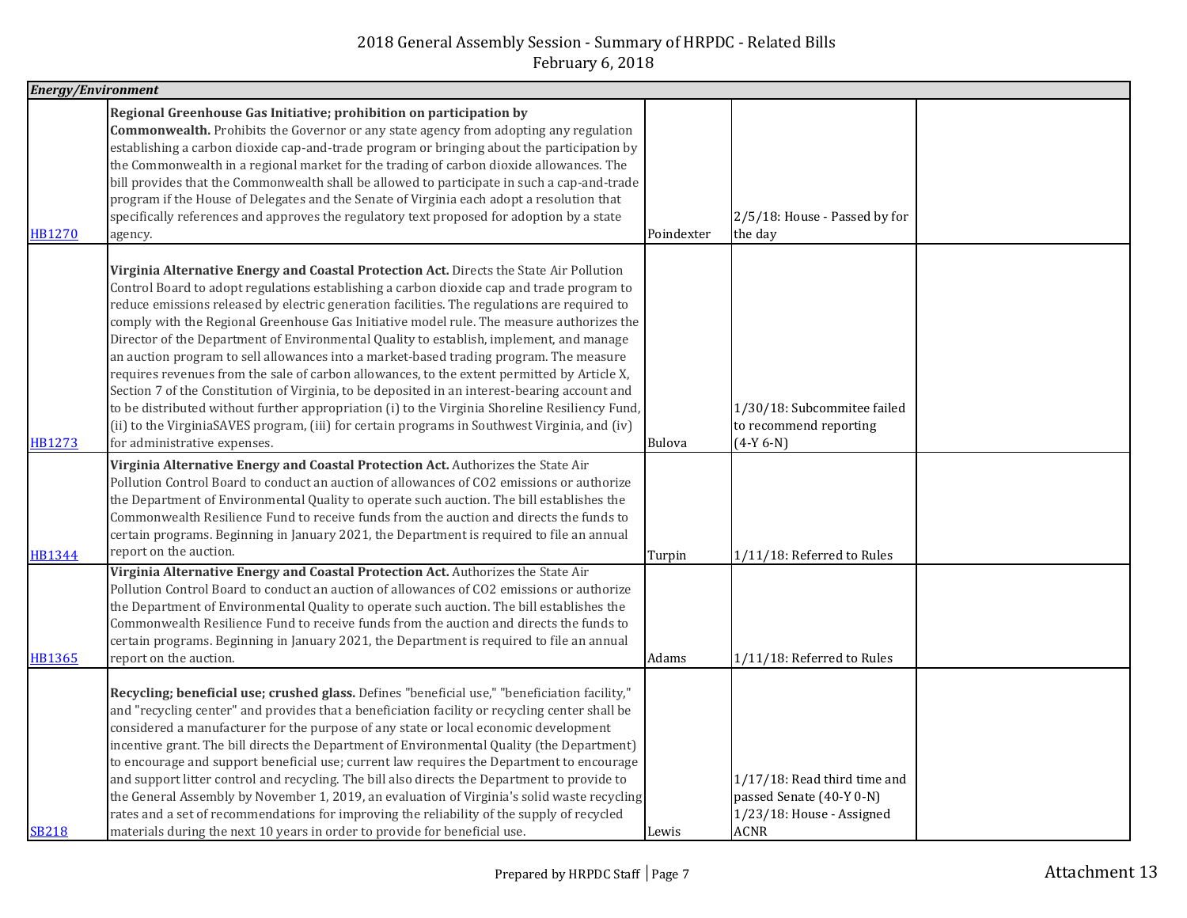| <b>Energy/Environment</b> |                                                                                                                                                                                                                                                                                                                                                                                                                                                                                                                                                                                                                                                                                                                                                                                                                                                                                                                                                                                                           |               |                                                                                                         |  |
|---------------------------|-----------------------------------------------------------------------------------------------------------------------------------------------------------------------------------------------------------------------------------------------------------------------------------------------------------------------------------------------------------------------------------------------------------------------------------------------------------------------------------------------------------------------------------------------------------------------------------------------------------------------------------------------------------------------------------------------------------------------------------------------------------------------------------------------------------------------------------------------------------------------------------------------------------------------------------------------------------------------------------------------------------|---------------|---------------------------------------------------------------------------------------------------------|--|
| <b>HB1270</b>             | Regional Greenhouse Gas Initiative; prohibition on participation by<br><b>Commonwealth.</b> Prohibits the Governor or any state agency from adopting any regulation<br>establishing a carbon dioxide cap-and-trade program or bringing about the participation by<br>the Commonwealth in a regional market for the trading of carbon dioxide allowances. The<br>bill provides that the Commonwealth shall be allowed to participate in such a cap-and-trade<br>program if the House of Delegates and the Senate of Virginia each adopt a resolution that<br>specifically references and approves the regulatory text proposed for adoption by a state<br>agency.                                                                                                                                                                                                                                                                                                                                          | Poindexter    | 2/5/18: House - Passed by for<br>the day                                                                |  |
| <b>HB1273</b>             | Virginia Alternative Energy and Coastal Protection Act. Directs the State Air Pollution<br>Control Board to adopt regulations establishing a carbon dioxide cap and trade program to<br>reduce emissions released by electric generation facilities. The regulations are required to<br>comply with the Regional Greenhouse Gas Initiative model rule. The measure authorizes the<br>Director of the Department of Environmental Quality to establish, implement, and manage<br>an auction program to sell allowances into a market-based trading program. The measure<br>requires revenues from the sale of carbon allowances, to the extent permitted by Article X,<br>Section 7 of the Constitution of Virginia, to be deposited in an interest-bearing account and<br>to be distributed without further appropriation (i) to the Virginia Shoreline Resiliency Fund,<br>(ii) to the VirginiaSAVES program, (iii) for certain programs in Southwest Virginia, and (iv)<br>for administrative expenses. | <b>Bulova</b> | 1/30/18: Subcommitee failed<br>to recommend reporting<br>$(4-Y 6-N)$                                    |  |
| <b>HB1344</b>             | Virginia Alternative Energy and Coastal Protection Act. Authorizes the State Air<br>Pollution Control Board to conduct an auction of allowances of CO2 emissions or authorize<br>the Department of Environmental Quality to operate such auction. The bill establishes the<br>Commonwealth Resilience Fund to receive funds from the auction and directs the funds to<br>certain programs. Beginning in January 2021, the Department is required to file an annual<br>report on the auction.                                                                                                                                                                                                                                                                                                                                                                                                                                                                                                              | Turpin        | 1/11/18: Referred to Rules                                                                              |  |
| <b>HB1365</b>             | Virginia Alternative Energy and Coastal Protection Act. Authorizes the State Air<br>Pollution Control Board to conduct an auction of allowances of CO2 emissions or authorize<br>the Department of Environmental Quality to operate such auction. The bill establishes the<br>Commonwealth Resilience Fund to receive funds from the auction and directs the funds to<br>certain programs. Beginning in January 2021, the Department is required to file an annual<br>report on the auction.                                                                                                                                                                                                                                                                                                                                                                                                                                                                                                              | Adams         | 1/11/18: Referred to Rules                                                                              |  |
| <b>SB218</b>              | Recycling; beneficial use; crushed glass. Defines "beneficial use," "beneficiation facility,"<br>and "recycling center" and provides that a beneficiation facility or recycling center shall be<br>considered a manufacturer for the purpose of any state or local economic development<br>incentive grant. The bill directs the Department of Environmental Quality (the Department)<br>to encourage and support beneficial use; current law requires the Department to encourage<br>and support litter control and recycling. The bill also directs the Department to provide to<br>the General Assembly by November 1, 2019, an evaluation of Virginia's solid waste recycling<br>rates and a set of recommendations for improving the reliability of the supply of recycled<br>materials during the next 10 years in order to provide for beneficial use.                                                                                                                                             | Lewis         | $1/17/18$ : Read third time and<br>passed Senate (40-Y 0-N)<br>1/23/18: House - Assigned<br><b>ACNR</b> |  |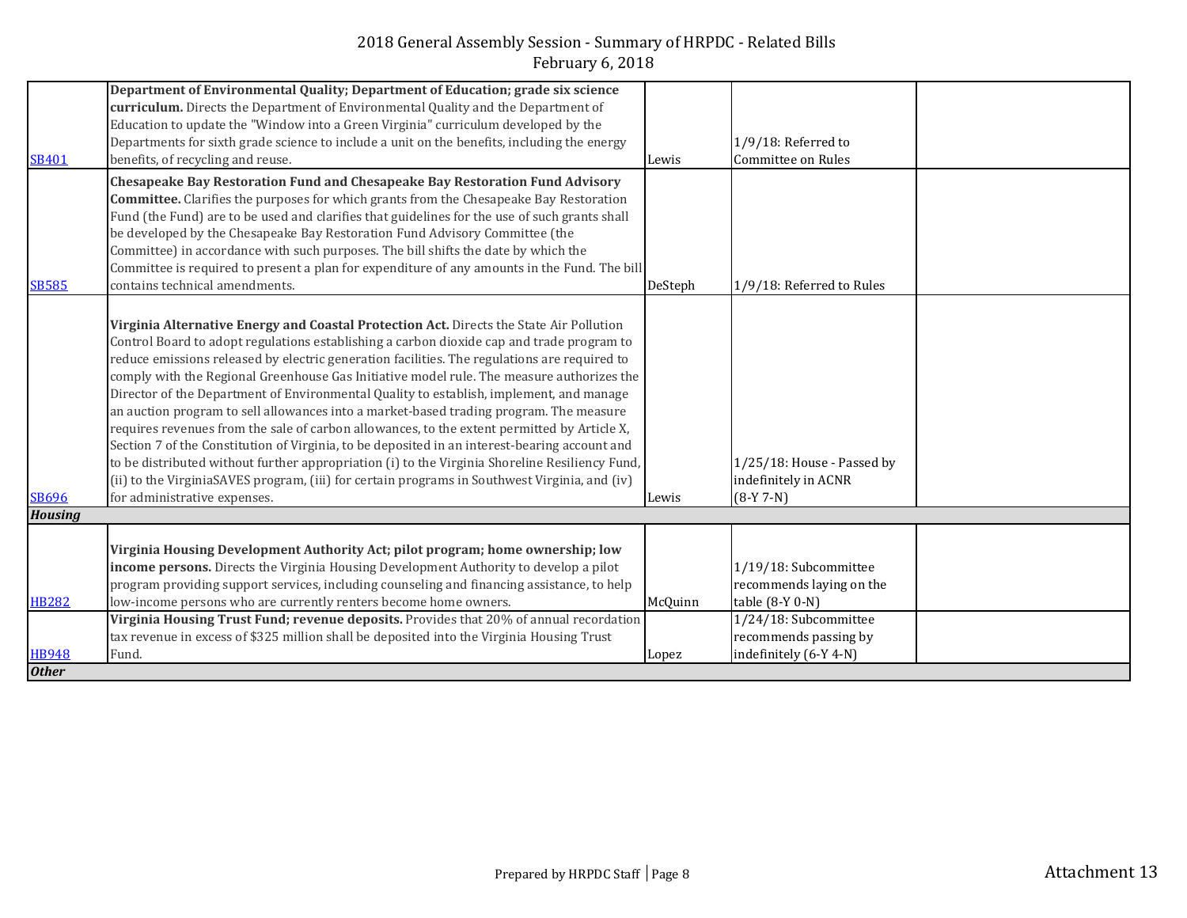|                | Department of Environmental Quality; Department of Education; grade six science                |         |                            |
|----------------|------------------------------------------------------------------------------------------------|---------|----------------------------|
|                | curriculum. Directs the Department of Environmental Quality and the Department of              |         |                            |
|                | Education to update the "Window into a Green Virginia" curriculum developed by the             |         |                            |
|                | Departments for sixth grade science to include a unit on the benefits, including the energy    |         | $1/9/18$ : Referred to     |
| <b>SB401</b>   | benefits, of recycling and reuse.                                                              | Lewis   | Committee on Rules         |
|                | Chesapeake Bay Restoration Fund and Chesapeake Bay Restoration Fund Advisory                   |         |                            |
|                | <b>Committee.</b> Clarifies the purposes for which grants from the Chesapeake Bay Restoration  |         |                            |
|                | Fund (the Fund) are to be used and clarifies that guidelines for the use of such grants shall  |         |                            |
|                | be developed by the Chesapeake Bay Restoration Fund Advisory Committee (the                    |         |                            |
|                | Committee) in accordance with such purposes. The bill shifts the date by which the             |         |                            |
|                | Committee is required to present a plan for expenditure of any amounts in the Fund. The bill   |         |                            |
| <b>SB585</b>   | contains technical amendments.                                                                 | DeSteph | 1/9/18: Referred to Rules  |
|                |                                                                                                |         |                            |
|                | Virginia Alternative Energy and Coastal Protection Act. Directs the State Air Pollution        |         |                            |
|                | Control Board to adopt regulations establishing a carbon dioxide cap and trade program to      |         |                            |
|                | reduce emissions released by electric generation facilities. The regulations are required to   |         |                            |
|                | comply with the Regional Greenhouse Gas Initiative model rule. The measure authorizes the      |         |                            |
|                | Director of the Department of Environmental Quality to establish, implement, and manage        |         |                            |
|                | an auction program to sell allowances into a market-based trading program. The measure         |         |                            |
|                | requires revenues from the sale of carbon allowances, to the extent permitted by Article X,    |         |                            |
|                | Section 7 of the Constitution of Virginia, to be deposited in an interest-bearing account and  |         |                            |
|                | to be distributed without further appropriation (i) to the Virginia Shoreline Resiliency Fund, |         | 1/25/18: House - Passed by |
|                | (ii) to the VirginiaSAVES program, (iii) for certain programs in Southwest Virginia, and (iv)  |         | indefinitely in ACNR       |
| <b>SB696</b>   | for administrative expenses.                                                                   | Lewis   | $(8-Y 7-N)$                |
| <b>Housing</b> |                                                                                                |         |                            |
|                |                                                                                                |         |                            |
|                | Virginia Housing Development Authority Act; pilot program; home ownership; low                 |         |                            |
|                | income persons. Directs the Virginia Housing Development Authority to develop a pilot          |         | 1/19/18: Subcommittee      |
|                | program providing support services, including counseling and financing assistance, to help     |         | recommends laying on the   |
| <b>HB282</b>   | low-income persons who are currently renters become home owners.                               | McQuinn | table (8-Y 0-N)            |
|                | Virginia Housing Trust Fund; revenue deposits. Provides that 20% of annual recordation         |         | 1/24/18: Subcommittee      |
|                | tax revenue in excess of \$325 million shall be deposited into the Virginia Housing Trust      |         | recommends passing by      |
| <b>HB948</b>   | Fund.                                                                                          | Lopez   | indefinitely (6-Y 4-N)     |
| <b>Other</b>   |                                                                                                |         |                            |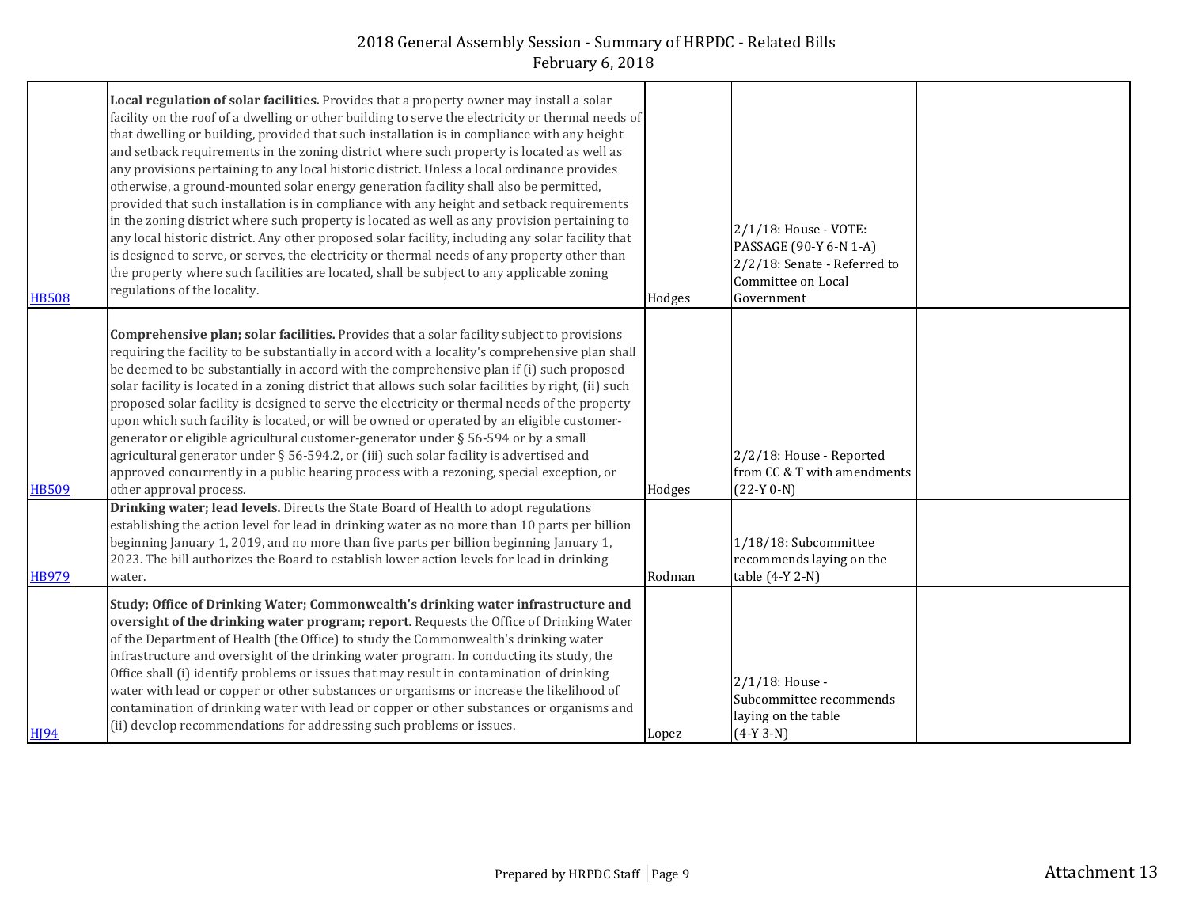| <b>HB508</b>     | Local regulation of solar facilities. Provides that a property owner may install a solar<br>facility on the roof of a dwelling or other building to serve the electricity or thermal needs of<br>that dwelling or building, provided that such installation is in compliance with any height<br>and setback requirements in the zoning district where such property is located as well as<br>any provisions pertaining to any local historic district. Unless a local ordinance provides<br>otherwise, a ground-mounted solar energy generation facility shall also be permitted,<br>provided that such installation is in compliance with any height and setback requirements<br>in the zoning district where such property is located as well as any provision pertaining to<br>any local historic district. Any other proposed solar facility, including any solar facility that<br>is designed to serve, or serves, the electricity or thermal needs of any property other than<br>the property where such facilities are located, shall be subject to any applicable zoning<br>regulations of the locality. | Hodges | 2/1/18: House - VOTE:<br>PASSAGE (90-Y 6-N 1-A)<br>2/2/18: Senate - Referred to<br>Committee on Local<br>Government |  |
|------------------|------------------------------------------------------------------------------------------------------------------------------------------------------------------------------------------------------------------------------------------------------------------------------------------------------------------------------------------------------------------------------------------------------------------------------------------------------------------------------------------------------------------------------------------------------------------------------------------------------------------------------------------------------------------------------------------------------------------------------------------------------------------------------------------------------------------------------------------------------------------------------------------------------------------------------------------------------------------------------------------------------------------------------------------------------------------------------------------------------------------|--------|---------------------------------------------------------------------------------------------------------------------|--|
| <b>HB509</b>     | <b>Comprehensive plan; solar facilities.</b> Provides that a solar facility subject to provisions<br>requiring the facility to be substantially in accord with a locality's comprehensive plan shall<br>be deemed to be substantially in accord with the comprehensive plan if (i) such proposed<br>solar facility is located in a zoning district that allows such solar facilities by right, (ii) such<br>proposed solar facility is designed to serve the electricity or thermal needs of the property<br>upon which such facility is located, or will be owned or operated by an eligible customer-<br>generator or eligible agricultural customer-generator under § 56-594 or by a small<br>agricultural generator under § 56-594.2, or (iii) such solar facility is advertised and<br>approved concurrently in a public hearing process with a rezoning, special exception, or<br>other approval process.                                                                                                                                                                                                  | Hodges | 2/2/18: House - Reported<br>from CC & T with amendments<br>$(22-Y 0-N)$                                             |  |
| <b>HB979</b>     | Drinking water; lead levels. Directs the State Board of Health to adopt regulations<br>establishing the action level for lead in drinking water as no more than 10 parts per billion<br>beginning January 1, 2019, and no more than five parts per billion beginning January 1,<br>2023. The bill authorizes the Board to establish lower action levels for lead in drinking<br>water.                                                                                                                                                                                                                                                                                                                                                                                                                                                                                                                                                                                                                                                                                                                           | Rodman | 1/18/18: Subcommittee<br>recommends laying on the<br>table (4-Y 2-N)                                                |  |
| H <sub>194</sub> | Study; Office of Drinking Water; Commonwealth's drinking water infrastructure and<br>oversight of the drinking water program; report. Requests the Office of Drinking Water<br>of the Department of Health (the Office) to study the Commonwealth's drinking water<br>infrastructure and oversight of the drinking water program. In conducting its study, the<br>Office shall (i) identify problems or issues that may result in contamination of drinking<br>water with lead or copper or other substances or organisms or increase the likelihood of<br>contamination of drinking water with lead or copper or other substances or organisms and<br>(ii) develop recommendations for addressing such problems or issues.                                                                                                                                                                                                                                                                                                                                                                                      | Lopez  | $2/1/18$ : House -<br>Subcommittee recommends<br>laying on the table<br>$(4-Y 3-N)$                                 |  |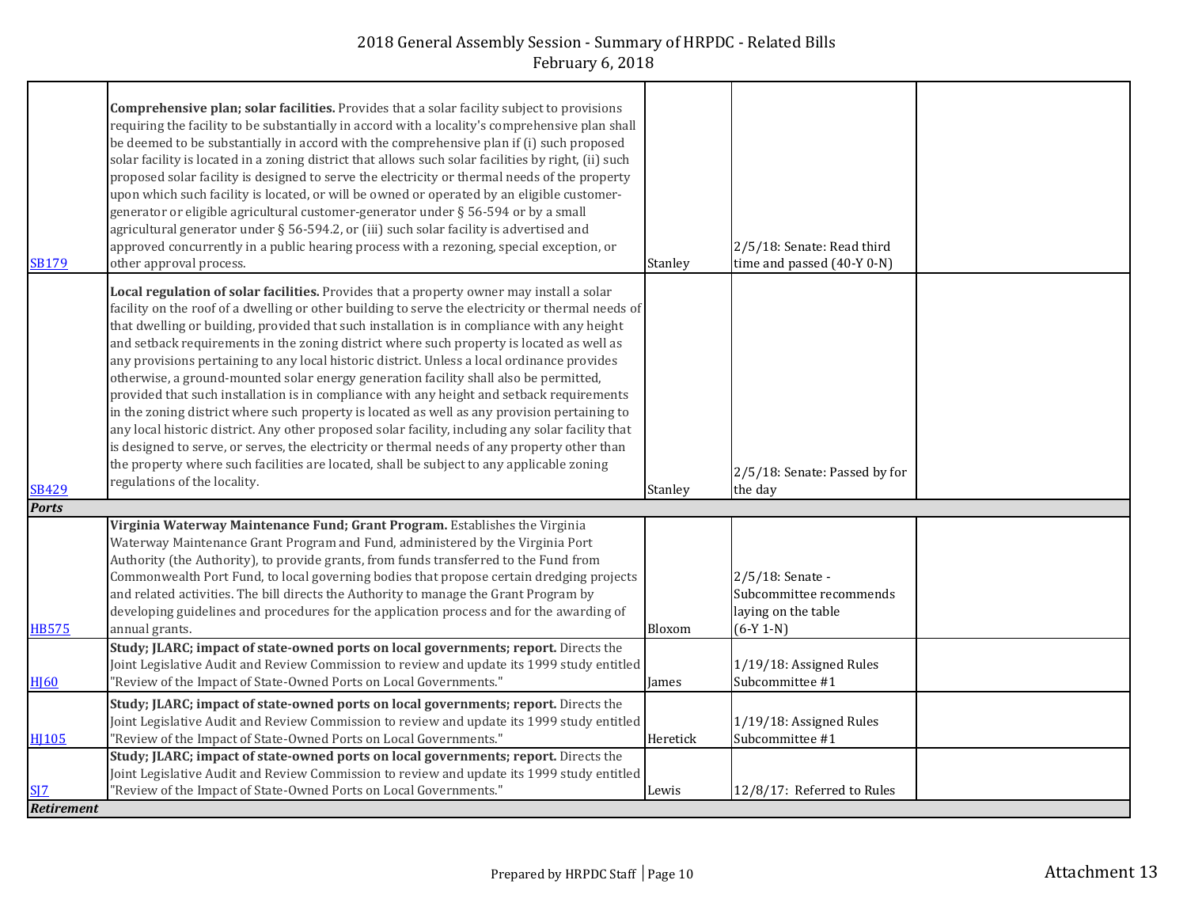| <b>SB179</b>     | Comprehensive plan; solar facilities. Provides that a solar facility subject to provisions<br>requiring the facility to be substantially in accord with a locality's comprehensive plan shall<br>be deemed to be substantially in accord with the comprehensive plan if (i) such proposed<br>solar facility is located in a zoning district that allows such solar facilities by right, (ii) such<br>proposed solar facility is designed to serve the electricity or thermal needs of the property<br>upon which such facility is located, or will be owned or operated by an eligible customer-<br>generator or eligible agricultural customer-generator under § 56-594 or by a small<br>agricultural generator under § 56-594.2, or (iii) such solar facility is advertised and<br>approved concurrently in a public hearing process with a rezoning, special exception, or<br>other approval process.                                                                                                                                                                                                         | Stanley  | 2/5/18: Senate: Read third<br>time and passed (40-Y 0-N)                          |  |
|------------------|------------------------------------------------------------------------------------------------------------------------------------------------------------------------------------------------------------------------------------------------------------------------------------------------------------------------------------------------------------------------------------------------------------------------------------------------------------------------------------------------------------------------------------------------------------------------------------------------------------------------------------------------------------------------------------------------------------------------------------------------------------------------------------------------------------------------------------------------------------------------------------------------------------------------------------------------------------------------------------------------------------------------------------------------------------------------------------------------------------------|----------|-----------------------------------------------------------------------------------|--|
| <b>SB429</b>     | Local regulation of solar facilities. Provides that a property owner may install a solar<br>facility on the roof of a dwelling or other building to serve the electricity or thermal needs of<br>that dwelling or building, provided that such installation is in compliance with any height<br>and setback requirements in the zoning district where such property is located as well as<br>any provisions pertaining to any local historic district. Unless a local ordinance provides<br>otherwise, a ground-mounted solar energy generation facility shall also be permitted,<br>provided that such installation is in compliance with any height and setback requirements<br>in the zoning district where such property is located as well as any provision pertaining to<br>any local historic district. Any other proposed solar facility, including any solar facility that<br>is designed to serve, or serves, the electricity or thermal needs of any property other than<br>the property where such facilities are located, shall be subject to any applicable zoning<br>regulations of the locality. | Stanley  | 2/5/18: Senate: Passed by for<br>the day                                          |  |
| <b>Ports</b>     |                                                                                                                                                                                                                                                                                                                                                                                                                                                                                                                                                                                                                                                                                                                                                                                                                                                                                                                                                                                                                                                                                                                  |          |                                                                                   |  |
| <b>HB575</b>     | Virginia Waterway Maintenance Fund; Grant Program. Establishes the Virginia<br>Waterway Maintenance Grant Program and Fund, administered by the Virginia Port<br>Authority (the Authority), to provide grants, from funds transferred to the Fund from<br>Commonwealth Port Fund, to local governing bodies that propose certain dredging projects<br>and related activities. The bill directs the Authority to manage the Grant Program by<br>developing guidelines and procedures for the application process and for the awarding of<br>annual grants.                                                                                                                                                                                                                                                                                                                                                                                                                                                                                                                                                        | Bloxom   | 2/5/18: Senate -<br>Subcommittee recommends<br>laying on the table<br>$(6-Y 1-N)$ |  |
| H <sub>160</sub> | Study; JLARC; impact of state-owned ports on local governments; report. Directs the<br>Joint Legislative Audit and Review Commission to review and update its 1999 study entitled<br>"Review of the Impact of State-Owned Ports on Local Governments."                                                                                                                                                                                                                                                                                                                                                                                                                                                                                                                                                                                                                                                                                                                                                                                                                                                           | James    | 1/19/18: Assigned Rules<br>Subcommittee #1                                        |  |
| <b>HI105</b>     | Study; JLARC; impact of state-owned ports on local governments; report. Directs the<br>Joint Legislative Audit and Review Commission to review and update its 1999 study entitled<br>"Review of the Impact of State-Owned Ports on Local Governments."                                                                                                                                                                                                                                                                                                                                                                                                                                                                                                                                                                                                                                                                                                                                                                                                                                                           | Heretick | 1/19/18: Assigned Rules<br>Subcommittee #1                                        |  |
| SI7              | Study; JLARC; impact of state-owned ports on local governments; report. Directs the<br>Joint Legislative Audit and Review Commission to review and update its 1999 study entitled<br>"Review of the Impact of State-Owned Ports on Local Governments."                                                                                                                                                                                                                                                                                                                                                                                                                                                                                                                                                                                                                                                                                                                                                                                                                                                           | Lewis    | 12/8/17: Referred to Rules                                                        |  |
| Retirement       |                                                                                                                                                                                                                                                                                                                                                                                                                                                                                                                                                                                                                                                                                                                                                                                                                                                                                                                                                                                                                                                                                                                  |          |                                                                                   |  |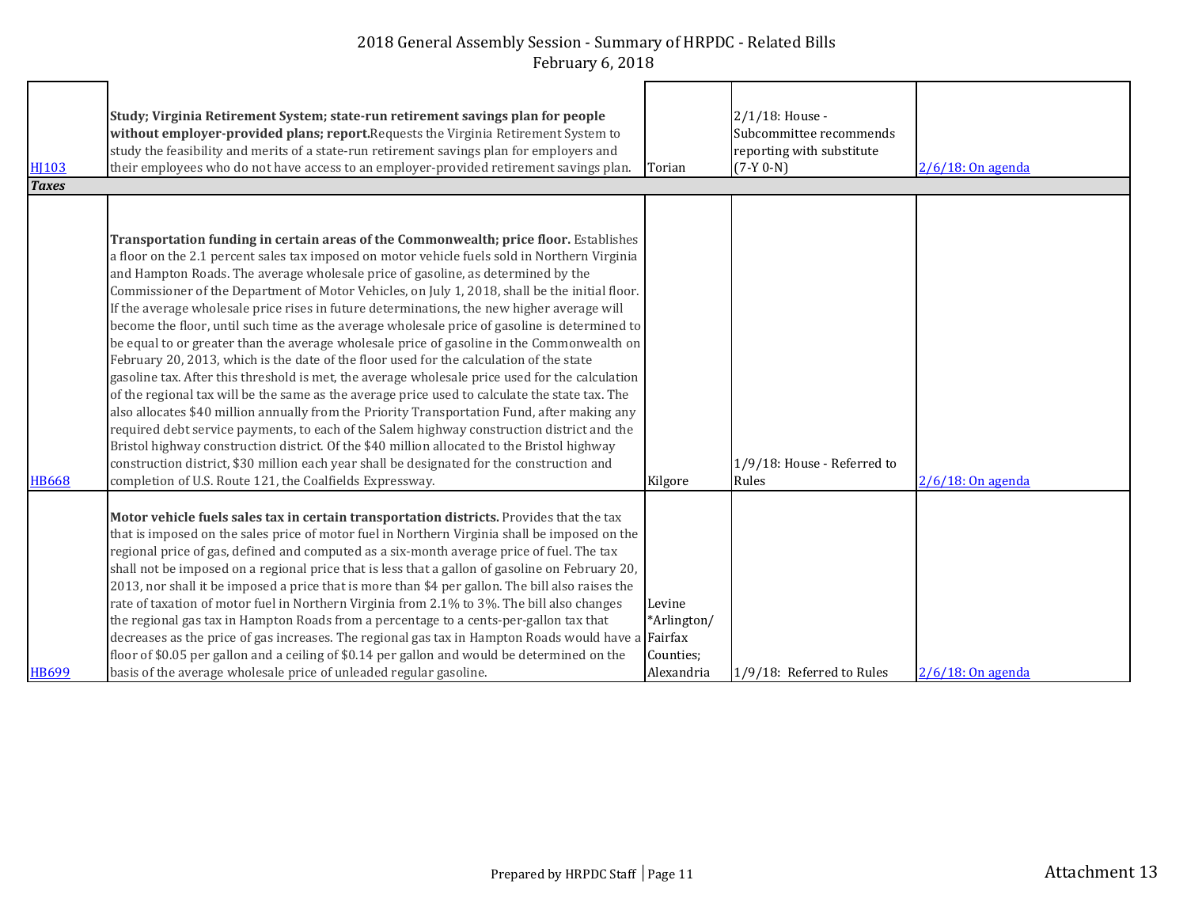| <b>HI103</b><br><b>Taxes</b> | Study; Virginia Retirement System; state-run retirement savings plan for people<br>without employer-provided plans; report. Requests the Virginia Retirement System to<br>study the feasibility and merits of a state-run retirement savings plan for employers and<br>their employees who do not have access to an employer-provided retirement savings plan.                                                                                                                                                                                                                                                                                                                                                                                                                                                                                                                                                                                                                                                                                                                                                                                                                                                                                                                                                                                                                                                                          | Torian                                           | 2/1/18: House -<br>Subcommittee recommends<br>reporting with substitute<br>$(7-Y 0-N)$ | $2/6/18$ : On agenda |
|------------------------------|-----------------------------------------------------------------------------------------------------------------------------------------------------------------------------------------------------------------------------------------------------------------------------------------------------------------------------------------------------------------------------------------------------------------------------------------------------------------------------------------------------------------------------------------------------------------------------------------------------------------------------------------------------------------------------------------------------------------------------------------------------------------------------------------------------------------------------------------------------------------------------------------------------------------------------------------------------------------------------------------------------------------------------------------------------------------------------------------------------------------------------------------------------------------------------------------------------------------------------------------------------------------------------------------------------------------------------------------------------------------------------------------------------------------------------------------|--------------------------------------------------|----------------------------------------------------------------------------------------|----------------------|
| <b>HB668</b>                 | <b>Transportation funding in certain areas of the Commonwealth; price floor.</b> Establishes<br>a floor on the 2.1 percent sales tax imposed on motor vehicle fuels sold in Northern Virginia<br>and Hampton Roads. The average wholesale price of gasoline, as determined by the<br>Commissioner of the Department of Motor Vehicles, on July 1, 2018, shall be the initial floor.<br>If the average wholesale price rises in future determinations, the new higher average will<br>become the floor, until such time as the average wholesale price of gasoline is determined to<br>be equal to or greater than the average wholesale price of gasoline in the Commonwealth on<br>February 20, 2013, which is the date of the floor used for the calculation of the state<br>gasoline tax. After this threshold is met, the average wholesale price used for the calculation<br>of the regional tax will be the same as the average price used to calculate the state tax. The<br>also allocates \$40 million annually from the Priority Transportation Fund, after making any<br>required debt service payments, to each of the Salem highway construction district and the<br>Bristol highway construction district. Of the \$40 million allocated to the Bristol highway<br>construction district, \$30 million each year shall be designated for the construction and<br>completion of U.S. Route 121, the Coalfields Expressway. | Kilgore                                          | 1/9/18: House - Referred to<br>Rules                                                   | $2/6/18$ : On agenda |
| <b>HB699</b>                 | Motor vehicle fuels sales tax in certain transportation districts. Provides that the tax<br>that is imposed on the sales price of motor fuel in Northern Virginia shall be imposed on the<br>regional price of gas, defined and computed as a six-month average price of fuel. The tax<br>shall not be imposed on a regional price that is less that a gallon of gasoline on February 20,<br>2013, nor shall it be imposed a price that is more than \$4 per gallon. The bill also raises the<br>rate of taxation of motor fuel in Northern Virginia from 2.1% to 3%. The bill also changes<br>the regional gas tax in Hampton Roads from a percentage to a cents-per-gallon tax that<br>decreases as the price of gas increases. The regional gas tax in Hampton Roads would have a Fairfax<br>floor of \$0.05 per gallon and a ceiling of \$0.14 per gallon and would be determined on the<br>basis of the average wholesale price of unleaded regular gasoline.                                                                                                                                                                                                                                                                                                                                                                                                                                                                      | Levine<br>*Arlington/<br>Counties;<br>Alexandria | 1/9/18: Referred to Rules                                                              | $2/6/18$ : On agenda |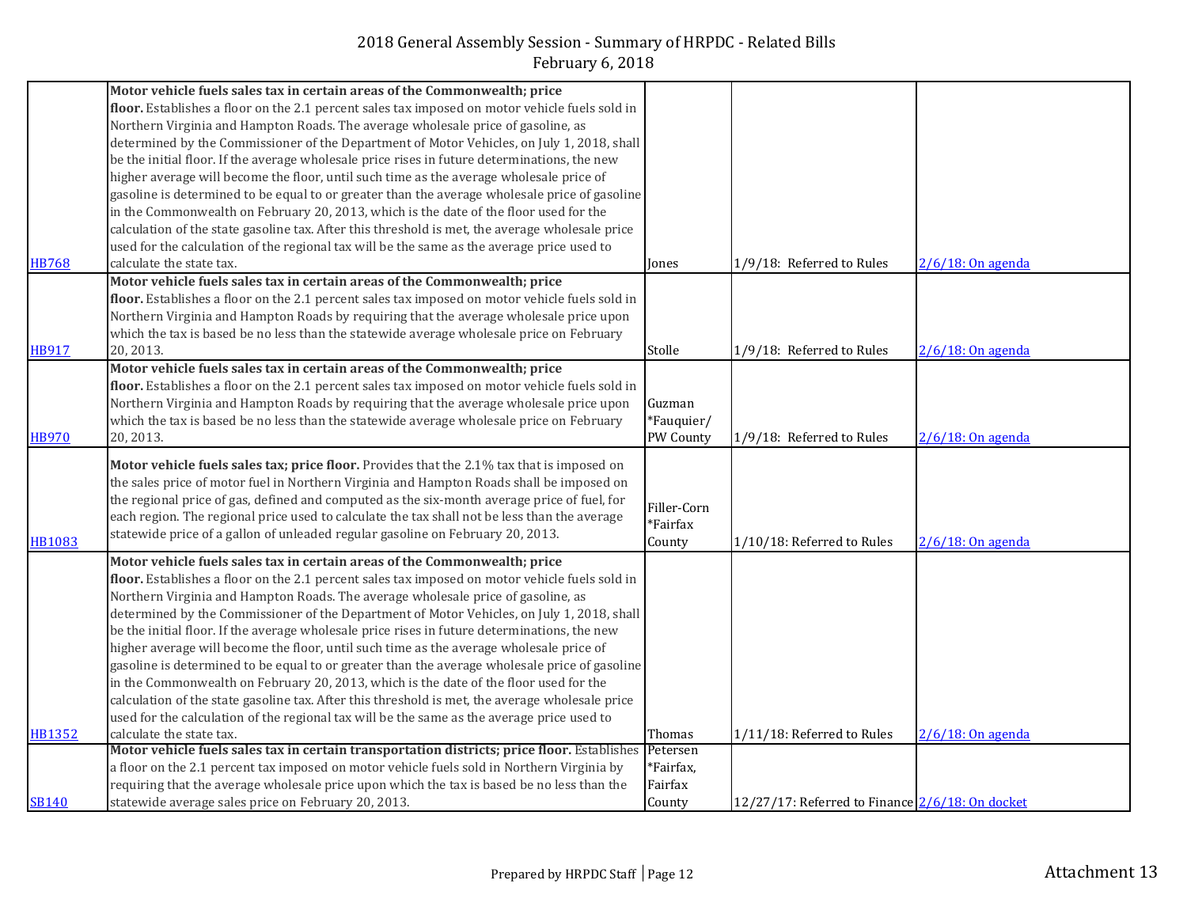|               | Motor vehicle fuels sales tax in certain areas of the Commonwealth; price                                                                         |                   |                                                 |                      |
|---------------|---------------------------------------------------------------------------------------------------------------------------------------------------|-------------------|-------------------------------------------------|----------------------|
|               | floor. Establishes a floor on the 2.1 percent sales tax imposed on motor vehicle fuels sold in                                                    |                   |                                                 |                      |
|               | Northern Virginia and Hampton Roads. The average wholesale price of gasoline, as                                                                  |                   |                                                 |                      |
|               | determined by the Commissioner of the Department of Motor Vehicles, on July 1, 2018, shall                                                        |                   |                                                 |                      |
|               | be the initial floor. If the average wholesale price rises in future determinations, the new                                                      |                   |                                                 |                      |
|               | higher average will become the floor, until such time as the average wholesale price of                                                           |                   |                                                 |                      |
|               | gasoline is determined to be equal to or greater than the average wholesale price of gasoline                                                     |                   |                                                 |                      |
|               | in the Commonwealth on February 20, 2013, which is the date of the floor used for the                                                             |                   |                                                 |                      |
|               | calculation of the state gasoline tax. After this threshold is met, the average wholesale price                                                   |                   |                                                 |                      |
|               | used for the calculation of the regional tax will be the same as the average price used to                                                        |                   |                                                 |                      |
| <b>HB768</b>  | calculate the state tax.                                                                                                                          | Jones             | 1/9/18: Referred to Rules                       | 2/6/18: On agenda    |
|               | Motor vehicle fuels sales tax in certain areas of the Commonwealth; price                                                                         |                   |                                                 |                      |
|               | floor. Establishes a floor on the 2.1 percent sales tax imposed on motor vehicle fuels sold in                                                    |                   |                                                 |                      |
|               |                                                                                                                                                   |                   |                                                 |                      |
|               | Northern Virginia and Hampton Roads by requiring that the average wholesale price upon                                                            |                   |                                                 |                      |
|               | which the tax is based be no less than the statewide average wholesale price on February                                                          |                   |                                                 |                      |
| <b>HB917</b>  | 20, 2013.                                                                                                                                         | Stolle            | 1/9/18: Referred to Rules                       | $2/6/18$ : On agenda |
|               | Motor vehicle fuels sales tax in certain areas of the Commonwealth; price                                                                         |                   |                                                 |                      |
|               | floor. Establishes a floor on the 2.1 percent sales tax imposed on motor vehicle fuels sold in                                                    |                   |                                                 |                      |
|               | Northern Virginia and Hampton Roads by requiring that the average wholesale price upon                                                            | Guzman            |                                                 |                      |
|               | which the tax is based be no less than the statewide average wholesale price on February                                                          | *Fauquier/        |                                                 |                      |
| <b>HB970</b>  | 20, 2013.                                                                                                                                         | PW County         | 1/9/18: Referred to Rules                       | $2/6/18$ : On agenda |
|               | Motor vehicle fuels sales tax; price floor. Provides that the 2.1% tax that is imposed on                                                         |                   |                                                 |                      |
|               | the sales price of motor fuel in Northern Virginia and Hampton Roads shall be imposed on                                                          |                   |                                                 |                      |
|               | the regional price of gas, defined and computed as the six-month average price of fuel, for                                                       |                   |                                                 |                      |
|               |                                                                                                                                                   | Filler-Corn       |                                                 |                      |
|               | each region. The regional price used to calculate the tax shall not be less than the average                                                      | *Fairfax          |                                                 |                      |
| <b>HB1083</b> | statewide price of a gallon of unleaded regular gasoline on February 20, 2013.                                                                    | County            | 1/10/18: Referred to Rules                      | 2/6/18: On agenda    |
|               | Motor vehicle fuels sales tax in certain areas of the Commonwealth; price                                                                         |                   |                                                 |                      |
|               | floor. Establishes a floor on the 2.1 percent sales tax imposed on motor vehicle fuels sold in                                                    |                   |                                                 |                      |
|               | Northern Virginia and Hampton Roads. The average wholesale price of gasoline, as                                                                  |                   |                                                 |                      |
|               | determined by the Commissioner of the Department of Motor Vehicles, on July 1, 2018, shall                                                        |                   |                                                 |                      |
|               | be the initial floor. If the average wholesale price rises in future determinations, the new                                                      |                   |                                                 |                      |
|               | higher average will become the floor, until such time as the average wholesale price of                                                           |                   |                                                 |                      |
|               | gasoline is determined to be equal to or greater than the average wholesale price of gasoline                                                     |                   |                                                 |                      |
|               | in the Commonwealth on February 20, 2013, which is the date of the floor used for the                                                             |                   |                                                 |                      |
|               | calculation of the state gasoline tax. After this threshold is met, the average wholesale price                                                   |                   |                                                 |                      |
|               | used for the calculation of the regional tax will be the same as the average price used to                                                        |                   |                                                 |                      |
|               |                                                                                                                                                   |                   |                                                 |                      |
|               |                                                                                                                                                   |                   |                                                 |                      |
| <b>HB1352</b> | calculate the state tax.                                                                                                                          | Thomas            | 1/11/18: Referred to Rules                      | $2/6/18$ : On agenda |
|               | Motor vehicle fuels sales tax in certain transportation districts; price floor. Establishes                                                       | Petersen          |                                                 |                      |
|               | a floor on the 2.1 percent tax imposed on motor vehicle fuels sold in Northern Virginia by                                                        | *Fairfax,         |                                                 |                      |
| <b>SB140</b>  | requiring that the average wholesale price upon which the tax is based be no less than the<br>statewide average sales price on February 20, 2013. | Fairfax<br>County | 12/27/17: Referred to Finance 2/6/18: On docket |                      |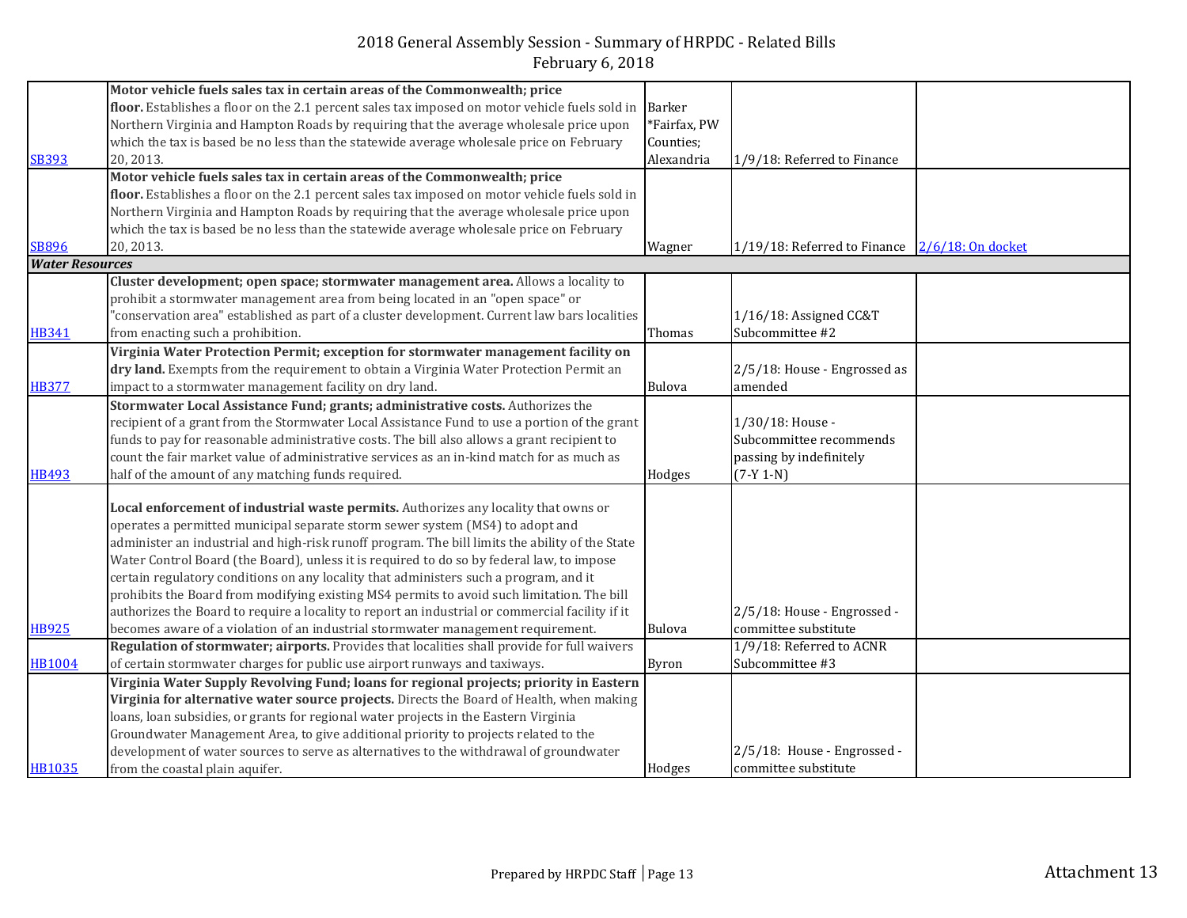|                        | Motor vehicle fuels sales tax in certain areas of the Commonwealth; price                       |               |                              |                   |
|------------------------|-------------------------------------------------------------------------------------------------|---------------|------------------------------|-------------------|
|                        | floor. Establishes a floor on the 2.1 percent sales tax imposed on motor vehicle fuels sold in  | Barker        |                              |                   |
|                        | Northern Virginia and Hampton Roads by requiring that the average wholesale price upon          | *Fairfax, PW  |                              |                   |
|                        | which the tax is based be no less than the statewide average wholesale price on February        | Counties;     |                              |                   |
| <b>SB393</b>           | 20, 2013.                                                                                       | Alexandria    | 1/9/18: Referred to Finance  |                   |
|                        | Motor vehicle fuels sales tax in certain areas of the Commonwealth; price                       |               |                              |                   |
|                        | floor. Establishes a floor on the 2.1 percent sales tax imposed on motor vehicle fuels sold in  |               |                              |                   |
|                        | Northern Virginia and Hampton Roads by requiring that the average wholesale price upon          |               |                              |                   |
|                        | which the tax is based be no less than the statewide average wholesale price on February        |               |                              |                   |
| <b>SB896</b>           | 20, 2013.                                                                                       | Wagner        | 1/19/18: Referred to Finance | 2/6/18: On docket |
| <b>Water Resources</b> |                                                                                                 |               |                              |                   |
|                        | Cluster development; open space; stormwater management area. Allows a locality to               |               |                              |                   |
|                        | prohibit a stormwater management area from being located in an "open space" or                  |               |                              |                   |
|                        | "conservation area" established as part of a cluster development. Current law bars localities   |               | 1/16/18: Assigned CC&T       |                   |
| <b>HB341</b>           | from enacting such a prohibition.                                                               | Thomas        | Subcommittee #2              |                   |
|                        | Virginia Water Protection Permit; exception for stormwater management facility on               |               |                              |                   |
|                        | dry land. Exempts from the requirement to obtain a Virginia Water Protection Permit an          |               | 2/5/18: House - Engrossed as |                   |
| <b>HB377</b>           | impact to a stormwater management facility on dry land.                                         | <b>Bulova</b> | amended                      |                   |
|                        | Stormwater Local Assistance Fund; grants; administrative costs. Authorizes the                  |               |                              |                   |
|                        | recipient of a grant from the Stormwater Local Assistance Fund to use a portion of the grant    |               | 1/30/18: House -             |                   |
|                        | funds to pay for reasonable administrative costs. The bill also allows a grant recipient to     |               | Subcommittee recommends      |                   |
|                        | count the fair market value of administrative services as an in-kind match for as much as       |               | passing by indefinitely      |                   |
| <b>HB493</b>           | half of the amount of any matching funds required.                                              | Hodges        | $(7-Y 1-N)$                  |                   |
|                        |                                                                                                 |               |                              |                   |
|                        | Local enforcement of industrial waste permits. Authorizes any locality that owns or             |               |                              |                   |
|                        | operates a permitted municipal separate storm sewer system (MS4) to adopt and                   |               |                              |                   |
|                        | administer an industrial and high-risk runoff program. The bill limits the ability of the State |               |                              |                   |
|                        | Water Control Board (the Board), unless it is required to do so by federal law, to impose       |               |                              |                   |
|                        | certain regulatory conditions on any locality that administers such a program, and it           |               |                              |                   |
|                        | prohibits the Board from modifying existing MS4 permits to avoid such limitation. The bill      |               |                              |                   |
|                        | authorizes the Board to require a locality to report an industrial or commercial facility if it |               | 2/5/18: House - Engrossed -  |                   |
| <b>HB925</b>           | becomes aware of a violation of an industrial stormwater management requirement.                | <b>Bulova</b> | committee substitute         |                   |
|                        | Regulation of stormwater; airports. Provides that localities shall provide for full waivers     |               | 1/9/18: Referred to ACNR     |                   |
| <b>HB1004</b>          | of certain stormwater charges for public use airport runways and taxiways.                      | <b>Byron</b>  | Subcommittee #3              |                   |
|                        | Virginia Water Supply Revolving Fund; loans for regional projects; priority in Eastern          |               |                              |                   |
|                        | Virginia for alternative water source projects. Directs the Board of Health, when making        |               |                              |                   |
|                        | loans, loan subsidies, or grants for regional water projects in the Eastern Virginia            |               |                              |                   |
|                        | Groundwater Management Area, to give additional priority to projects related to the             |               |                              |                   |
|                        | development of water sources to serve as alternatives to the withdrawal of groundwater          |               | 2/5/18: House - Engrossed -  |                   |
| <b>HB1035</b>          | from the coastal plain aquifer.                                                                 | Hodges        | committee substitute         |                   |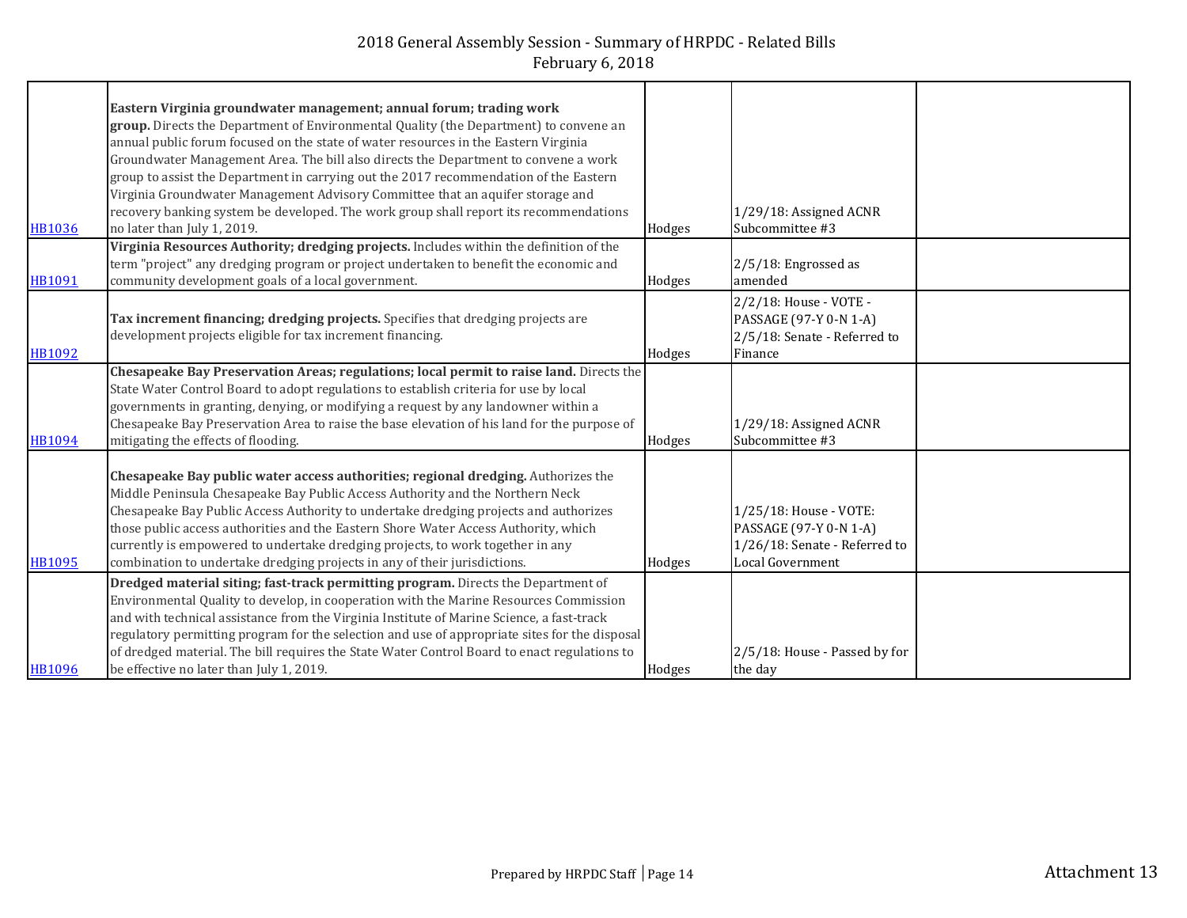|               | Eastern Virginia groundwater management; annual forum; trading work                           |        |                               |  |
|---------------|-----------------------------------------------------------------------------------------------|--------|-------------------------------|--|
|               | group. Directs the Department of Environmental Quality (the Department) to convene an         |        |                               |  |
|               | annual public forum focused on the state of water resources in the Eastern Virginia           |        |                               |  |
|               | Groundwater Management Area. The bill also directs the Department to convene a work           |        |                               |  |
|               | group to assist the Department in carrying out the 2017 recommendation of the Eastern         |        |                               |  |
|               | Virginia Groundwater Management Advisory Committee that an aquifer storage and                |        |                               |  |
|               | recovery banking system be developed. The work group shall report its recommendations         |        | 1/29/18: Assigned ACNR        |  |
| HB1036        | no later than July 1, 2019.                                                                   | Hodges | Subcommittee #3               |  |
|               | Virginia Resources Authority; dredging projects. Includes within the definition of the        |        |                               |  |
|               | term "project" any dredging program or project undertaken to benefit the economic and         |        | 2/5/18: Engrossed as          |  |
| <b>HB1091</b> | community development goals of a local government.                                            | Hodges | amended                       |  |
|               |                                                                                               |        |                               |  |
|               |                                                                                               |        | 2/2/18: House - VOTE -        |  |
|               | Tax increment financing; dredging projects. Specifies that dredging projects are              |        | PASSAGE (97-Y 0-N 1-A)        |  |
|               | development projects eligible for tax increment financing.                                    |        | 2/5/18: Senate - Referred to  |  |
| <b>HB1092</b> |                                                                                               | Hodges | Finance                       |  |
|               | Chesapeake Bay Preservation Areas; regulations; local permit to raise land. Directs the       |        |                               |  |
|               | State Water Control Board to adopt regulations to establish criteria for use by local         |        |                               |  |
|               | governments in granting, denying, or modifying a request by any landowner within a            |        |                               |  |
|               | Chesapeake Bay Preservation Area to raise the base elevation of his land for the purpose of   |        | 1/29/18: Assigned ACNR        |  |
| <b>HB1094</b> | mitigating the effects of flooding.                                                           | Hodges | Subcommittee #3               |  |
|               |                                                                                               |        |                               |  |
|               | Chesapeake Bay public water access authorities; regional dredging. Authorizes the             |        |                               |  |
|               | Middle Peninsula Chesapeake Bay Public Access Authority and the Northern Neck                 |        |                               |  |
|               | Chesapeake Bay Public Access Authority to undertake dredging projects and authorizes          |        | 1/25/18: House - VOTE:        |  |
|               | those public access authorities and the Eastern Shore Water Access Authority, which           |        | PASSAGE (97-Y 0-N 1-A)        |  |
|               | currently is empowered to undertake dredging projects, to work together in any                |        | 1/26/18: Senate - Referred to |  |
| HB1095        | combination to undertake dredging projects in any of their jurisdictions.                     | Hodges | Local Government              |  |
|               | Dredged material siting; fast-track permitting program. Directs the Department of             |        |                               |  |
|               | Environmental Quality to develop, in cooperation with the Marine Resources Commission         |        |                               |  |
|               | and with technical assistance from the Virginia Institute of Marine Science, a fast-track     |        |                               |  |
|               | regulatory permitting program for the selection and use of appropriate sites for the disposal |        |                               |  |
|               | of dredged material. The bill requires the State Water Control Board to enact regulations to  |        | 2/5/18: House - Passed by for |  |
| <b>HB1096</b> | be effective no later than July 1, 2019.                                                      | Hodges | the day                       |  |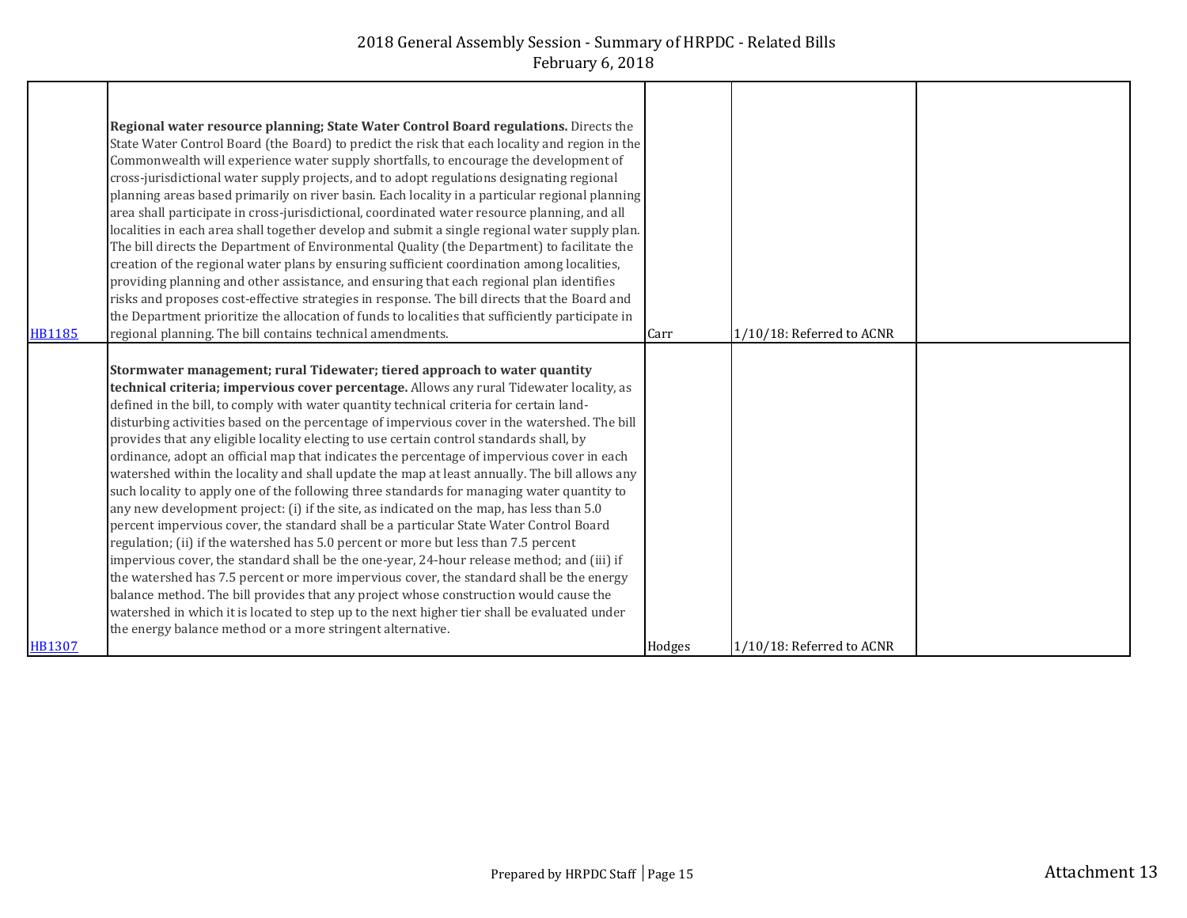|               | Regional water resource planning; State Water Control Board regulations. Directs the             |        |                           |  |
|---------------|--------------------------------------------------------------------------------------------------|--------|---------------------------|--|
|               | State Water Control Board (the Board) to predict the risk that each locality and region in the   |        |                           |  |
|               | Commonwealth will experience water supply shortfalls, to encourage the development of            |        |                           |  |
|               | cross-jurisdictional water supply projects, and to adopt regulations designating regional        |        |                           |  |
|               | planning areas based primarily on river basin. Each locality in a particular regional planning   |        |                           |  |
|               | area shall participate in cross-jurisdictional, coordinated water resource planning, and all     |        |                           |  |
|               | localities in each area shall together develop and submit a single regional water supply plan.   |        |                           |  |
|               | The bill directs the Department of Environmental Quality (the Department) to facilitate the      |        |                           |  |
|               | creation of the regional water plans by ensuring sufficient coordination among localities,       |        |                           |  |
|               | providing planning and other assistance, and ensuring that each regional plan identifies         |        |                           |  |
|               | risks and proposes cost-effective strategies in response. The bill directs that the Board and    |        |                           |  |
|               | the Department prioritize the allocation of funds to localities that sufficiently participate in |        |                           |  |
| <b>HB1185</b> | regional planning. The bill contains technical amendments.                                       | Carr   | 1/10/18: Referred to ACNR |  |
|               |                                                                                                  |        |                           |  |
|               | Stormwater management; rural Tidewater; tiered approach to water quantity                        |        |                           |  |
|               | technical criteria; impervious cover percentage. Allows any rural Tidewater locality, as         |        |                           |  |
|               | defined in the bill, to comply with water quantity technical criteria for certain land-          |        |                           |  |
|               | disturbing activities based on the percentage of impervious cover in the watershed. The bill     |        |                           |  |
|               | provides that any eligible locality electing to use certain control standards shall, by          |        |                           |  |
|               | ordinance, adopt an official map that indicates the percentage of impervious cover in each       |        |                           |  |
|               | watershed within the locality and shall update the map at least annually. The bill allows any    |        |                           |  |
|               | such locality to apply one of the following three standards for managing water quantity to       |        |                           |  |
|               | any new development project: (i) if the site, as indicated on the map, has less than 5.0         |        |                           |  |
|               | percent impervious cover, the standard shall be a particular State Water Control Board           |        |                           |  |
|               | regulation; (ii) if the watershed has 5.0 percent or more but less than 7.5 percent              |        |                           |  |
|               | impervious cover, the standard shall be the one-year, 24-hour release method; and (iii) if       |        |                           |  |
|               | the watershed has 7.5 percent or more impervious cover, the standard shall be the energy         |        |                           |  |
|               | balance method. The bill provides that any project whose construction would cause the            |        |                           |  |
|               | watershed in which it is located to step up to the next higher tier shall be evaluated under     |        |                           |  |
|               | the energy balance method or a more stringent alternative.                                       |        |                           |  |
| HB1307        |                                                                                                  | Hodges | 1/10/18: Referred to ACNR |  |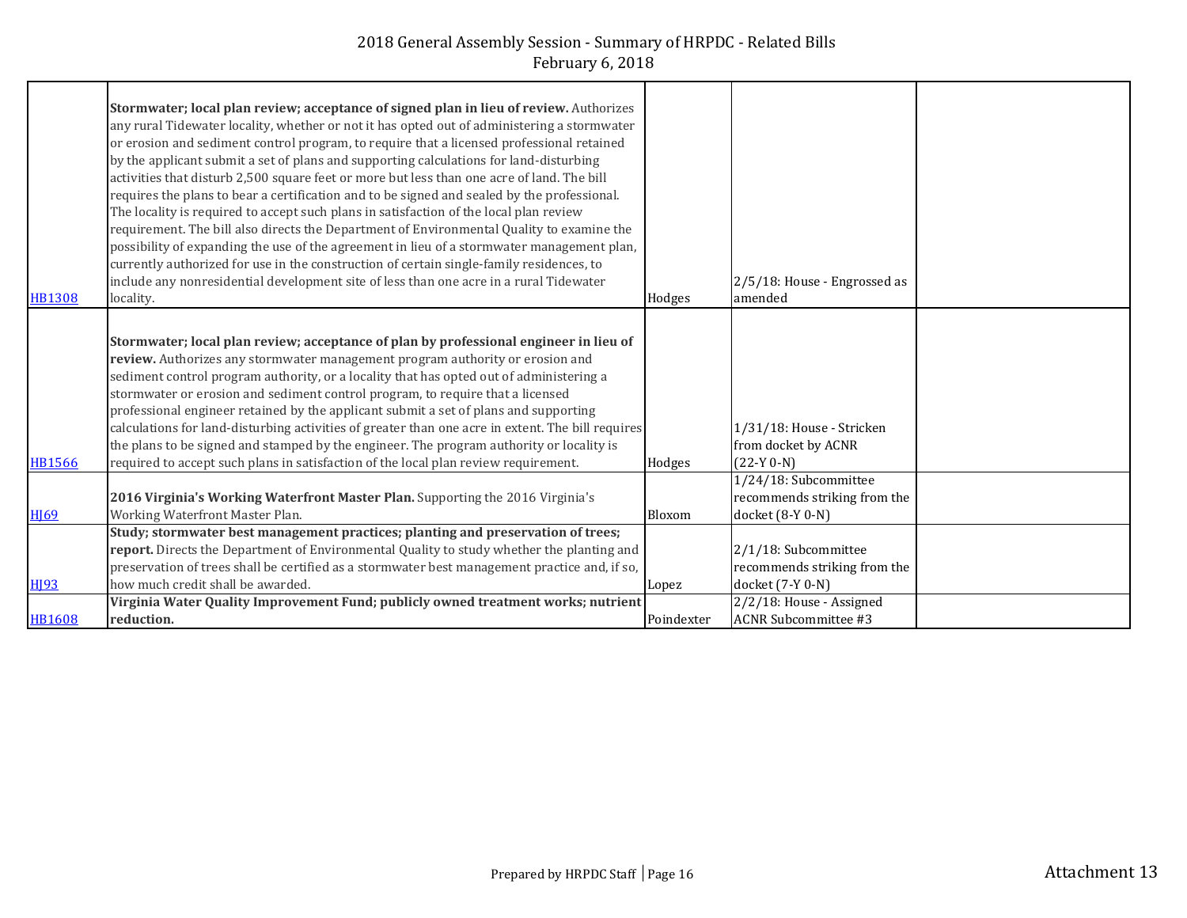| <b>HB1308</b>    | Stormwater; local plan review; acceptance of signed plan in lieu of review. Authorizes<br>any rural Tidewater locality, whether or not it has opted out of administering a stormwater<br>or erosion and sediment control program, to require that a licensed professional retained<br>by the applicant submit a set of plans and supporting calculations for land-disturbing<br>activities that disturb 2,500 square feet or more but less than one acre of land. The bill<br>requires the plans to bear a certification and to be signed and sealed by the professional.<br>The locality is required to accept such plans in satisfaction of the local plan review<br>requirement. The bill also directs the Department of Environmental Quality to examine the<br>possibility of expanding the use of the agreement in lieu of a stormwater management plan,<br>currently authorized for use in the construction of certain single-family residences, to<br>include any nonresidential development site of less than one acre in a rural Tidewater<br>locality. | Hodges     | 2/5/18: House - Engrossed as<br>amended                                   |  |
|------------------|-------------------------------------------------------------------------------------------------------------------------------------------------------------------------------------------------------------------------------------------------------------------------------------------------------------------------------------------------------------------------------------------------------------------------------------------------------------------------------------------------------------------------------------------------------------------------------------------------------------------------------------------------------------------------------------------------------------------------------------------------------------------------------------------------------------------------------------------------------------------------------------------------------------------------------------------------------------------------------------------------------------------------------------------------------------------|------------|---------------------------------------------------------------------------|--|
| <b>HB1566</b>    | Stormwater; local plan review; acceptance of plan by professional engineer in lieu of<br>review. Authorizes any stormwater management program authority or erosion and<br>sediment control program authority, or a locality that has opted out of administering a<br>stormwater or erosion and sediment control program, to require that a licensed<br>professional engineer retained by the applicant submit a set of plans and supporting<br>calculations for land-disturbing activities of greater than one acre in extent. The bill requires<br>the plans to be signed and stamped by the engineer. The program authority or locality is<br>required to accept such plans in satisfaction of the local plan review requirement.                                                                                                                                                                                                                                                                                                                               | Hodges     | 1/31/18: House - Stricken<br>from docket by ACNR<br>$(22-Y 0-N)$          |  |
| <b>H169</b>      | 2016 Virginia's Working Waterfront Master Plan. Supporting the 2016 Virginia's<br>Working Waterfront Master Plan.                                                                                                                                                                                                                                                                                                                                                                                                                                                                                                                                                                                                                                                                                                                                                                                                                                                                                                                                                 | Bloxom     | 1/24/18: Subcommittee<br>recommends striking from the<br>docket (8-Y 0-N) |  |
| H <sub>193</sub> | Study; stormwater best management practices; planting and preservation of trees;<br>report. Directs the Department of Environmental Quality to study whether the planting and<br>preservation of trees shall be certified as a stormwater best management practice and, if so,<br>how much credit shall be awarded.                                                                                                                                                                                                                                                                                                                                                                                                                                                                                                                                                                                                                                                                                                                                               | Lopez      | 2/1/18: Subcommittee<br>recommends striking from the<br>docket (7-Y 0-N)  |  |
| <b>HB1608</b>    | Virginia Water Quality Improvement Fund; publicly owned treatment works; nutrient<br>reduction.                                                                                                                                                                                                                                                                                                                                                                                                                                                                                                                                                                                                                                                                                                                                                                                                                                                                                                                                                                   | Poindexter | 2/2/18: House - Assigned<br><b>ACNR Subcommittee #3</b>                   |  |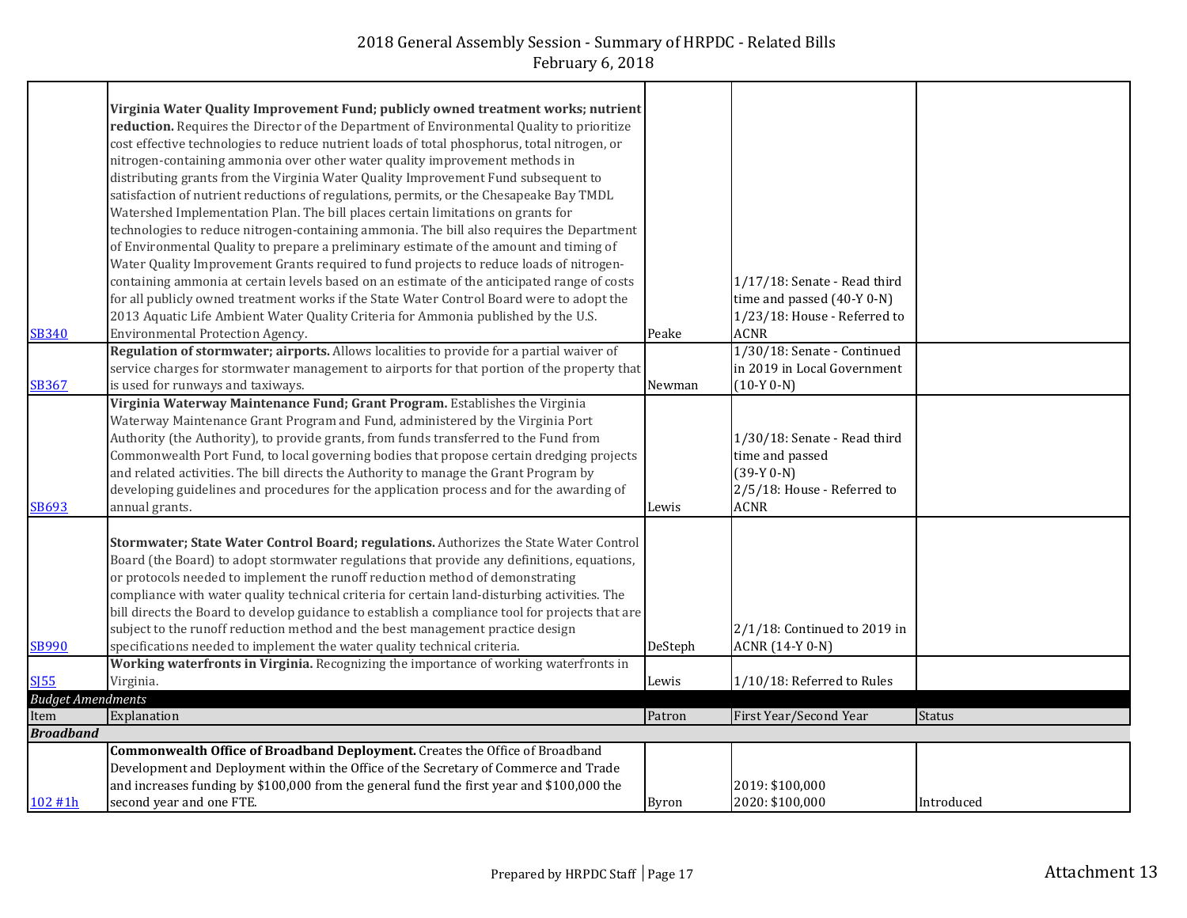|                          | Virginia Water Quality Improvement Fund; publicly owned treatment works; nutrient<br>reduction. Requires the Director of the Department of Environmental Quality to prioritize<br>cost effective technologies to reduce nutrient loads of total phosphorus, total nitrogen, or<br>nitrogen-containing ammonia over other water quality improvement methods in<br>distributing grants from the Virginia Water Quality Improvement Fund subsequent to<br>satisfaction of nutrient reductions of regulations, permits, or the Chesapeake Bay TMDL<br>Watershed Implementation Plan. The bill places certain limitations on grants for<br>technologies to reduce nitrogen-containing ammonia. The bill also requires the Department<br>of Environmental Quality to prepare a preliminary estimate of the amount and timing of<br>Water Quality Improvement Grants required to fund projects to reduce loads of nitrogen-<br>containing ammonia at certain levels based on an estimate of the anticipated range of costs<br>for all publicly owned treatment works if the State Water Control Board were to adopt the<br>2013 Aquatic Life Ambient Water Quality Criteria for Ammonia published by the U.S. |              | 1/17/18: Senate - Read third<br>time and passed (40-Y 0-N)<br>1/23/18: House - Referred to                    |            |
|--------------------------|--------------------------------------------------------------------------------------------------------------------------------------------------------------------------------------------------------------------------------------------------------------------------------------------------------------------------------------------------------------------------------------------------------------------------------------------------------------------------------------------------------------------------------------------------------------------------------------------------------------------------------------------------------------------------------------------------------------------------------------------------------------------------------------------------------------------------------------------------------------------------------------------------------------------------------------------------------------------------------------------------------------------------------------------------------------------------------------------------------------------------------------------------------------------------------------------------------|--------------|---------------------------------------------------------------------------------------------------------------|------------|
| <b>SB340</b>             | Environmental Protection Agency.                                                                                                                                                                                                                                                                                                                                                                                                                                                                                                                                                                                                                                                                                                                                                                                                                                                                                                                                                                                                                                                                                                                                                                       | Peake        | <b>ACNR</b>                                                                                                   |            |
| <b>SB367</b>             | Regulation of stormwater; airports. Allows localities to provide for a partial waiver of<br>service charges for stormwater management to airports for that portion of the property that<br>is used for runways and taxiways.                                                                                                                                                                                                                                                                                                                                                                                                                                                                                                                                                                                                                                                                                                                                                                                                                                                                                                                                                                           | Newman       | 1/30/18: Senate - Continued<br>in 2019 in Local Government<br>$(10-Y 0-N)$                                    |            |
| <b>SB693</b>             | Virginia Waterway Maintenance Fund; Grant Program. Establishes the Virginia<br>Waterway Maintenance Grant Program and Fund, administered by the Virginia Port<br>Authority (the Authority), to provide grants, from funds transferred to the Fund from<br>Commonwealth Port Fund, to local governing bodies that propose certain dredging projects<br>and related activities. The bill directs the Authority to manage the Grant Program by<br>developing guidelines and procedures for the application process and for the awarding of<br>annual grants.                                                                                                                                                                                                                                                                                                                                                                                                                                                                                                                                                                                                                                              | Lewis        | 1/30/18: Senate - Read third<br>time and passed<br>$(39-Y 0-N)$<br>2/5/18: House - Referred to<br><b>ACNR</b> |            |
| <b>SB990</b>             | Stormwater; State Water Control Board; regulations. Authorizes the State Water Control<br>Board (the Board) to adopt stormwater regulations that provide any definitions, equations,<br>or protocols needed to implement the runoff reduction method of demonstrating<br>compliance with water quality technical criteria for certain land-disturbing activities. The<br>bill directs the Board to develop guidance to establish a compliance tool for projects that are<br>subject to the runoff reduction method and the best management practice design<br>specifications needed to implement the water quality technical criteria.                                                                                                                                                                                                                                                                                                                                                                                                                                                                                                                                                                 | DeSteph      | $2/1/18$ : Continued to 2019 in<br><b>ACNR</b> (14-Y 0-N)                                                     |            |
|                          | Working waterfronts in Virginia. Recognizing the importance of working waterfronts in                                                                                                                                                                                                                                                                                                                                                                                                                                                                                                                                                                                                                                                                                                                                                                                                                                                                                                                                                                                                                                                                                                                  |              |                                                                                                               |            |
| <b>SI55</b>              | Virginia.                                                                                                                                                                                                                                                                                                                                                                                                                                                                                                                                                                                                                                                                                                                                                                                                                                                                                                                                                                                                                                                                                                                                                                                              | Lewis        | 1/10/18: Referred to Rules                                                                                    |            |
| <b>Budget Amendments</b> |                                                                                                                                                                                                                                                                                                                                                                                                                                                                                                                                                                                                                                                                                                                                                                                                                                                                                                                                                                                                                                                                                                                                                                                                        |              |                                                                                                               |            |
| Item                     | Explanation                                                                                                                                                                                                                                                                                                                                                                                                                                                                                                                                                                                                                                                                                                                                                                                                                                                                                                                                                                                                                                                                                                                                                                                            | Patron       | First Year/Second Year                                                                                        | Status     |
| <b>Broadband</b>         |                                                                                                                                                                                                                                                                                                                                                                                                                                                                                                                                                                                                                                                                                                                                                                                                                                                                                                                                                                                                                                                                                                                                                                                                        |              |                                                                                                               |            |
| 102 #1h                  | Commonwealth Office of Broadband Deployment. Creates the Office of Broadband<br>Development and Deployment within the Office of the Secretary of Commerce and Trade<br>and increases funding by \$100,000 from the general fund the first year and \$100,000 the<br>second year and one FTE.                                                                                                                                                                                                                                                                                                                                                                                                                                                                                                                                                                                                                                                                                                                                                                                                                                                                                                           | <b>Byron</b> | 2019: \$100,000<br>2020: \$100,000                                                                            | Introduced |
|                          |                                                                                                                                                                                                                                                                                                                                                                                                                                                                                                                                                                                                                                                                                                                                                                                                                                                                                                                                                                                                                                                                                                                                                                                                        |              |                                                                                                               |            |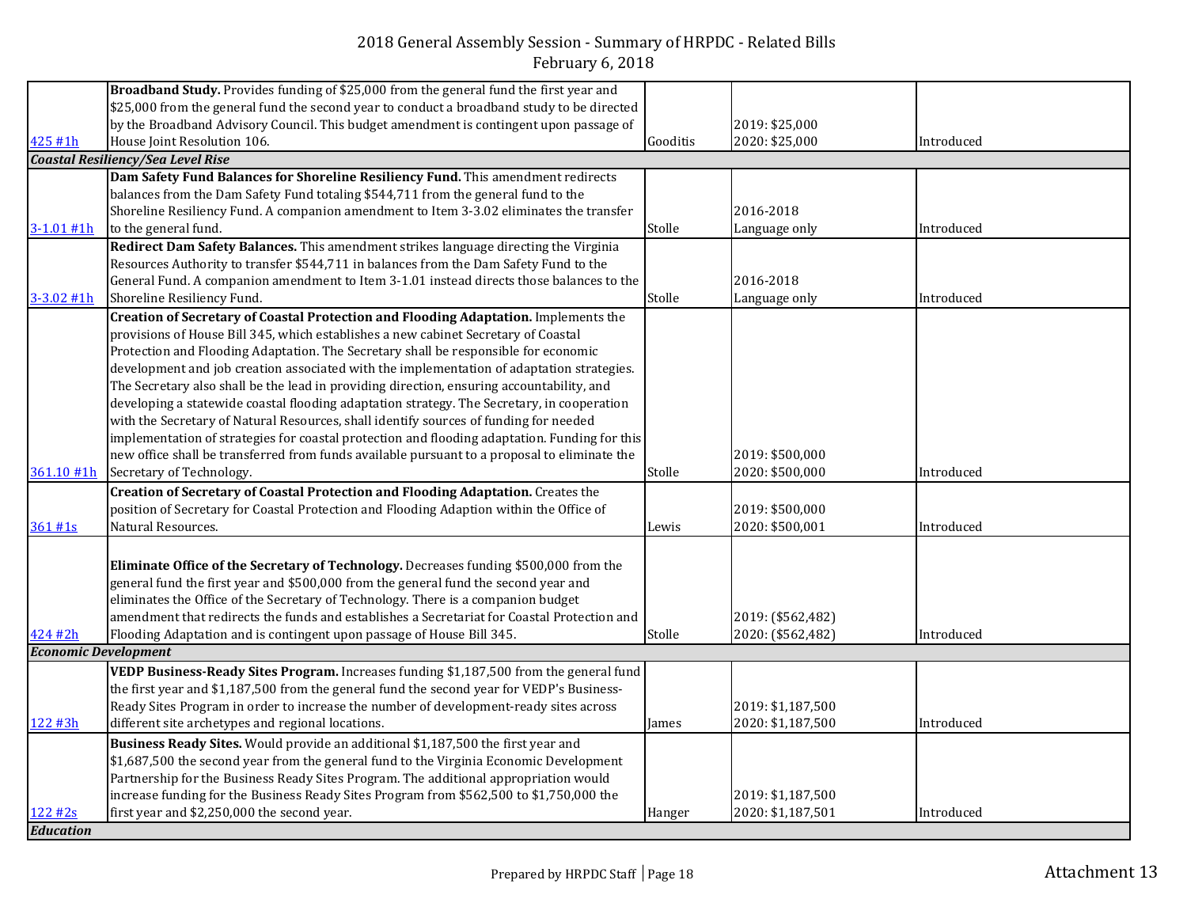|                             | Broadband Study. Provides funding of \$25,000 from the general fund the first year and        |          |                   |            |
|-----------------------------|-----------------------------------------------------------------------------------------------|----------|-------------------|------------|
|                             | \$25,000 from the general fund the second year to conduct a broadband study to be directed    |          |                   |            |
|                             | by the Broadband Advisory Council. This budget amendment is contingent upon passage of        |          | 2019: \$25,000    |            |
| 425 #1h                     | House Joint Resolution 106.                                                                   | Gooditis | 2020: \$25,000    | Introduced |
|                             | <b>Coastal Resiliency/Sea Level Rise</b>                                                      |          |                   |            |
|                             | Dam Safety Fund Balances for Shoreline Resiliency Fund. This amendment redirects              |          |                   |            |
|                             | balances from the Dam Safety Fund totaling \$544,711 from the general fund to the             |          |                   |            |
|                             | Shoreline Resiliency Fund. A companion amendment to Item 3-3.02 eliminates the transfer       |          | 2016-2018         |            |
| $3 - 1.01$ #1h              | to the general fund.                                                                          | Stolle   | Language only     | Introduced |
|                             | Redirect Dam Safety Balances. This amendment strikes language directing the Virginia          |          |                   |            |
|                             | Resources Authority to transfer \$544,711 in balances from the Dam Safety Fund to the         |          |                   |            |
|                             | General Fund. A companion amendment to Item 3-1.01 instead directs those balances to the      |          | 2016-2018         |            |
| $3 - 3.02$ #1h              | Shoreline Resiliency Fund.                                                                    | Stolle   | Language only     | Introduced |
|                             | Creation of Secretary of Coastal Protection and Flooding Adaptation. Implements the           |          |                   |            |
|                             | provisions of House Bill 345, which establishes a new cabinet Secretary of Coastal            |          |                   |            |
|                             | Protection and Flooding Adaptation. The Secretary shall be responsible for economic           |          |                   |            |
|                             | development and job creation associated with the implementation of adaptation strategies.     |          |                   |            |
|                             | The Secretary also shall be the lead in providing direction, ensuring accountability, and     |          |                   |            |
|                             | developing a statewide coastal flooding adaptation strategy. The Secretary, in cooperation    |          |                   |            |
|                             | with the Secretary of Natural Resources, shall identify sources of funding for needed         |          |                   |            |
|                             | implementation of strategies for coastal protection and flooding adaptation. Funding for this |          |                   |            |
|                             | new office shall be transferred from funds available pursuant to a proposal to eliminate the  |          | 2019: \$500,000   |            |
| 361.10 #1h                  | Secretary of Technology.                                                                      | Stolle   | 2020: \$500,000   | Introduced |
|                             | Creation of Secretary of Coastal Protection and Flooding Adaptation. Creates the              |          |                   |            |
|                             | position of Secretary for Coastal Protection and Flooding Adaption within the Office of       |          | 2019: \$500,000   |            |
| 361#1s                      | Natural Resources.                                                                            | Lewis    | 2020: \$500,001   | Introduced |
|                             |                                                                                               |          |                   |            |
|                             | Eliminate Office of the Secretary of Technology. Decreases funding \$500,000 from the         |          |                   |            |
|                             | general fund the first year and \$500,000 from the general fund the second year and           |          |                   |            |
|                             | eliminates the Office of the Secretary of Technology. There is a companion budget             |          |                   |            |
|                             | amendment that redirects the funds and establishes a Secretariat for Coastal Protection and   |          | 2019: (\$562,482) |            |
| 424 #2h                     | Flooding Adaptation and is contingent upon passage of House Bill 345.                         | Stolle   | 2020: (\$562,482) | Introduced |
| <b>Economic Development</b> |                                                                                               |          |                   |            |
|                             | VEDP Business-Ready Sites Program. Increases funding \$1,187,500 from the general fund        |          |                   |            |
|                             | the first year and \$1,187,500 from the general fund the second year for VEDP's Business-     |          |                   |            |
|                             | Ready Sites Program in order to increase the number of development-ready sites across         |          | 2019: \$1,187,500 |            |
| 122 #3h                     | different site archetypes and regional locations.                                             | James    | 2020: \$1,187,500 | Introduced |
|                             | Business Ready Sites. Would provide an additional \$1,187,500 the first year and              |          |                   |            |
|                             | \$1,687,500 the second year from the general fund to the Virginia Economic Development        |          |                   |            |
|                             | Partnership for the Business Ready Sites Program. The additional appropriation would          |          |                   |            |
|                             | increase funding for the Business Ready Sites Program from \$562,500 to \$1,750,000 the       |          | 2019: \$1,187,500 |            |
| 122 #2s                     | first year and \$2,250,000 the second year.                                                   | Hanger   | 2020: \$1,187,501 | Introduced |
| <b>Education</b>            |                                                                                               |          |                   |            |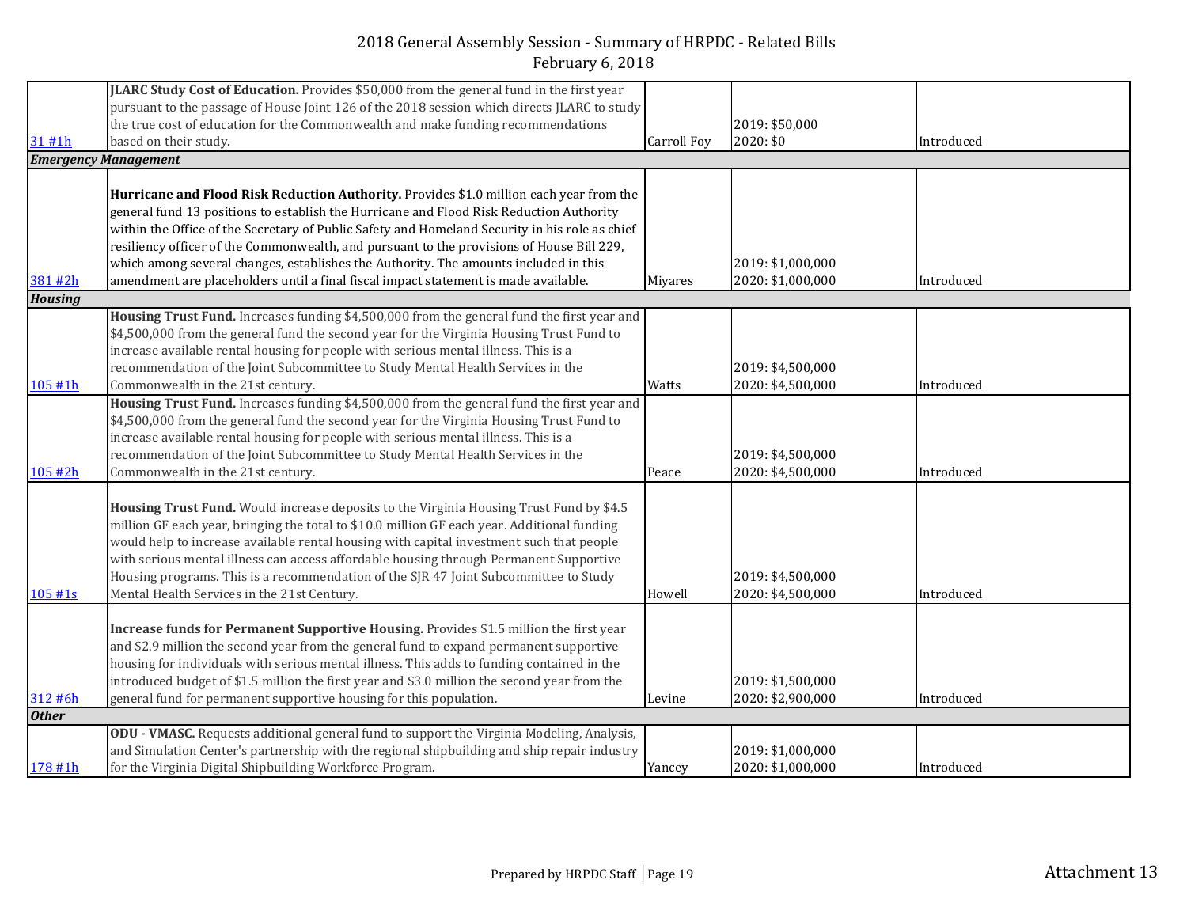|                | JLARC Study Cost of Education. Provides \$50,000 from the general fund in the first year       |                    |                   |            |
|----------------|------------------------------------------------------------------------------------------------|--------------------|-------------------|------------|
|                |                                                                                                |                    |                   |            |
|                | pursuant to the passage of House Joint 126 of the 2018 session which directs JLARC to study    |                    |                   |            |
|                | the true cost of education for the Commonwealth and make funding recommendations               |                    | 2019: \$50,000    |            |
| 31#1h          | based on their study.                                                                          | <b>Carroll Foy</b> | 2020: \$0         | Introduced |
|                | <b>Emergency Management</b>                                                                    |                    |                   |            |
|                |                                                                                                |                    |                   |            |
|                | Hurricane and Flood Risk Reduction Authority. Provides \$1.0 million each year from the        |                    |                   |            |
|                | general fund 13 positions to establish the Hurricane and Flood Risk Reduction Authority        |                    |                   |            |
|                | within the Office of the Secretary of Public Safety and Homeland Security in his role as chief |                    |                   |            |
|                | resiliency officer of the Commonwealth, and pursuant to the provisions of House Bill 229,      |                    |                   |            |
|                | which among several changes, establishes the Authority. The amounts included in this           |                    | 2019: \$1,000,000 |            |
| 381 #2h        | amendment are placeholders until a final fiscal impact statement is made available.            | Miyares            | 2020: \$1,000,000 | Introduced |
| <b>Housing</b> |                                                                                                |                    |                   |            |
|                | Housing Trust Fund. Increases funding \$4,500,000 from the general fund the first year and     |                    |                   |            |
|                | \$4,500,000 from the general fund the second year for the Virginia Housing Trust Fund to       |                    |                   |            |
|                | increase available rental housing for people with serious mental illness. This is a            |                    |                   |            |
|                | recommendation of the Joint Subcommittee to Study Mental Health Services in the                |                    | 2019: \$4,500,000 |            |
| 105 #1h        | Commonwealth in the 21st century.                                                              | Watts              | 2020: \$4,500,000 | Introduced |
|                | Housing Trust Fund. Increases funding \$4,500,000 from the general fund the first year and     |                    |                   |            |
|                | \$4,500,000 from the general fund the second year for the Virginia Housing Trust Fund to       |                    |                   |            |
|                |                                                                                                |                    |                   |            |
|                | increase available rental housing for people with serious mental illness. This is a            |                    |                   |            |
|                | recommendation of the Joint Subcommittee to Study Mental Health Services in the                |                    | 2019: \$4,500,000 |            |
| 105#2h         | Commonwealth in the 21st century.                                                              | Peace              | 2020: \$4,500,000 | Introduced |
|                |                                                                                                |                    |                   |            |
|                | Housing Trust Fund. Would increase deposits to the Virginia Housing Trust Fund by \$4.5        |                    |                   |            |
|                | million GF each year, bringing the total to \$10.0 million GF each year. Additional funding    |                    |                   |            |
|                | would help to increase available rental housing with capital investment such that people       |                    |                   |            |
|                | with serious mental illness can access affordable housing through Permanent Supportive         |                    |                   |            |
|                | Housing programs. This is a recommendation of the SJR 47 Joint Subcommittee to Study           |                    | 2019: \$4,500,000 |            |
| 105#1s         | Mental Health Services in the 21st Century.                                                    | Howell             | 2020: \$4,500,000 | Introduced |
|                |                                                                                                |                    |                   |            |
|                | Increase funds for Permanent Supportive Housing. Provides \$1.5 million the first year         |                    |                   |            |
|                | and \$2.9 million the second year from the general fund to expand permanent supportive         |                    |                   |            |
|                | housing for individuals with serious mental illness. This adds to funding contained in the     |                    |                   |            |
|                | introduced budget of \$1.5 million the first year and \$3.0 million the second year from the   |                    | 2019: \$1,500,000 |            |
| 312 #6h        | general fund for permanent supportive housing for this population.                             | Levine             | 2020: \$2,900,000 | Introduced |
| <b>Other</b>   |                                                                                                |                    |                   |            |
|                | ODU - VMASC. Requests additional general fund to support the Virginia Modeling, Analysis,      |                    |                   |            |
|                | and Simulation Center's partnership with the regional shipbuilding and ship repair industry    |                    | 2019: \$1,000,000 |            |
| 178 #1h        | for the Virginia Digital Shipbuilding Workforce Program.                                       | Yancey             | 2020: \$1,000,000 | Introduced |
|                |                                                                                                |                    |                   |            |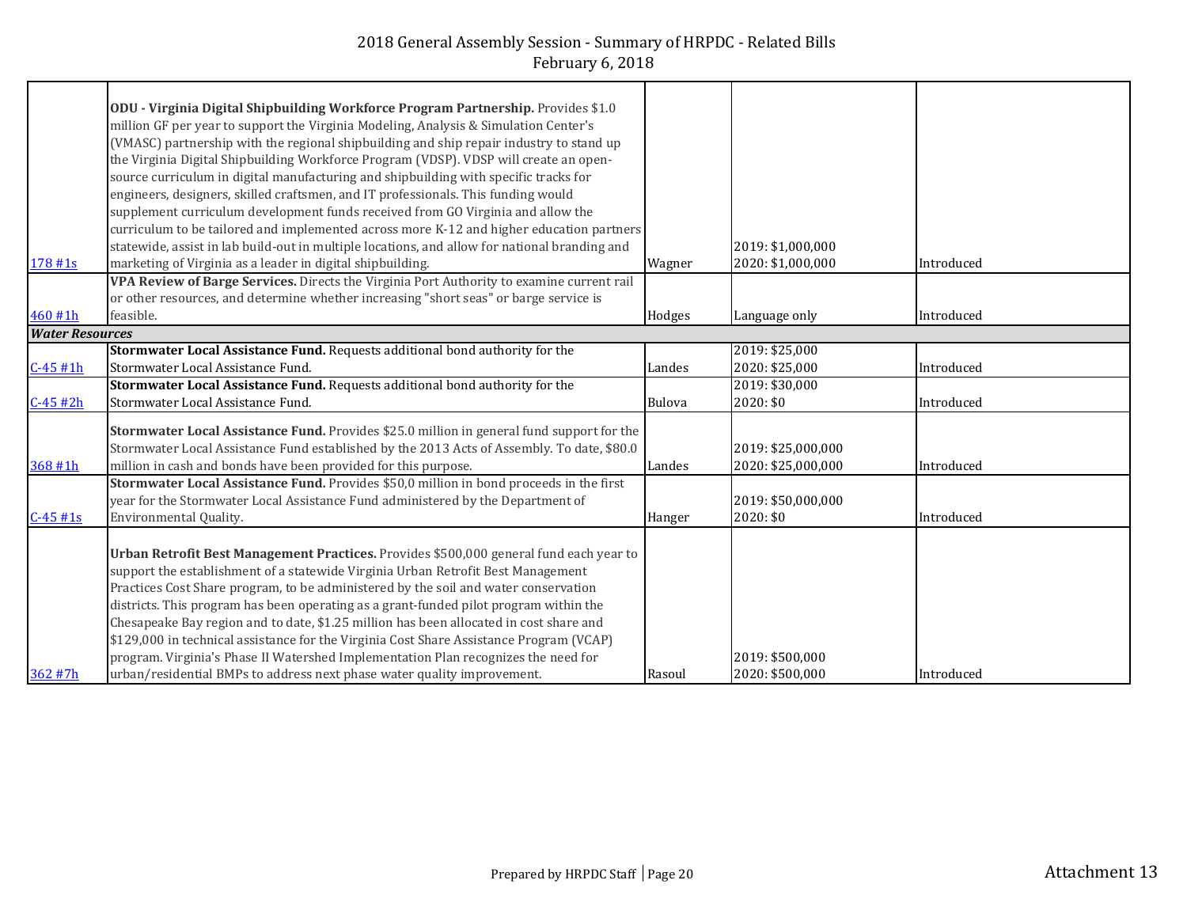| 178 #1s                | ODU - Virginia Digital Shipbuilding Workforce Program Partnership. Provides \$1.0<br>million GF per year to support the Virginia Modeling, Analysis & Simulation Center's<br>(VMASC) partnership with the regional shipbuilding and ship repair industry to stand up<br>the Virginia Digital Shipbuilding Workforce Program (VDSP). VDSP will create an open-<br>source curriculum in digital manufacturing and shipbuilding with specific tracks for<br>engineers, designers, skilled craftsmen, and IT professionals. This funding would<br>supplement curriculum development funds received from GO Virginia and allow the<br>curriculum to be tailored and implemented across more K-12 and higher education partners<br>statewide, assist in lab build-out in multiple locations, and allow for national branding and<br>marketing of Virginia as a leader in digital shipbuilding. | Wagner        | 2019: \$1,000,000<br>2020: \$1,000,000   | Introduced |
|------------------------|------------------------------------------------------------------------------------------------------------------------------------------------------------------------------------------------------------------------------------------------------------------------------------------------------------------------------------------------------------------------------------------------------------------------------------------------------------------------------------------------------------------------------------------------------------------------------------------------------------------------------------------------------------------------------------------------------------------------------------------------------------------------------------------------------------------------------------------------------------------------------------------|---------------|------------------------------------------|------------|
|                        | VPA Review of Barge Services. Directs the Virginia Port Authority to examine current rail                                                                                                                                                                                                                                                                                                                                                                                                                                                                                                                                                                                                                                                                                                                                                                                                |               |                                          |            |
| 460 #1h                | or other resources, and determine whether increasing "short seas" or barge service is<br>feasible.                                                                                                                                                                                                                                                                                                                                                                                                                                                                                                                                                                                                                                                                                                                                                                                       | Hodges        | Language only                            | Introduced |
| <b>Water Resources</b> |                                                                                                                                                                                                                                                                                                                                                                                                                                                                                                                                                                                                                                                                                                                                                                                                                                                                                          |               |                                          |            |
| $C-45#1h$              | Stormwater Local Assistance Fund. Requests additional bond authority for the<br>Stormwater Local Assistance Fund.                                                                                                                                                                                                                                                                                                                                                                                                                                                                                                                                                                                                                                                                                                                                                                        | Landes        | 2019: \$25,000<br>2020: \$25,000         | Introduced |
| $C-45#2h$              | Stormwater Local Assistance Fund. Requests additional bond authority for the<br>Stormwater Local Assistance Fund.                                                                                                                                                                                                                                                                                                                                                                                                                                                                                                                                                                                                                                                                                                                                                                        | <b>Bulova</b> | 2019: \$30,000<br>2020: \$0              | Introduced |
| 368 #1h                | Stormwater Local Assistance Fund. Provides \$25.0 million in general fund support for the<br>Stormwater Local Assistance Fund established by the 2013 Acts of Assembly. To date, \$80.0<br>million in cash and bonds have been provided for this purpose.                                                                                                                                                                                                                                                                                                                                                                                                                                                                                                                                                                                                                                | Landes        | 2019: \$25,000,000<br>2020: \$25,000,000 | Introduced |
| $C-45#1s$              | Stormwater Local Assistance Fund. Provides \$50,0 million in bond proceeds in the first<br>year for the Stormwater Local Assistance Fund administered by the Department of<br>Environmental Quality.                                                                                                                                                                                                                                                                                                                                                                                                                                                                                                                                                                                                                                                                                     | Hanger        | 2019: \$50,000,000<br>2020: \$0          | Introduced |
| 362 #7h                | Urban Retrofit Best Management Practices. Provides \$500,000 general fund each year to<br>support the establishment of a statewide Virginia Urban Retrofit Best Management<br>Practices Cost Share program, to be administered by the soil and water conservation<br>districts. This program has been operating as a grant-funded pilot program within the<br>Chesapeake Bay region and to date, \$1.25 million has been allocated in cost share and<br>\$129,000 in technical assistance for the Virginia Cost Share Assistance Program (VCAP)<br>program. Virginia's Phase II Watershed Implementation Plan recognizes the need for<br>urban/residential BMPs to address next phase water quality improvement.                                                                                                                                                                         | Rasoul        | 2019: \$500,000<br>2020: \$500,000       | Introduced |